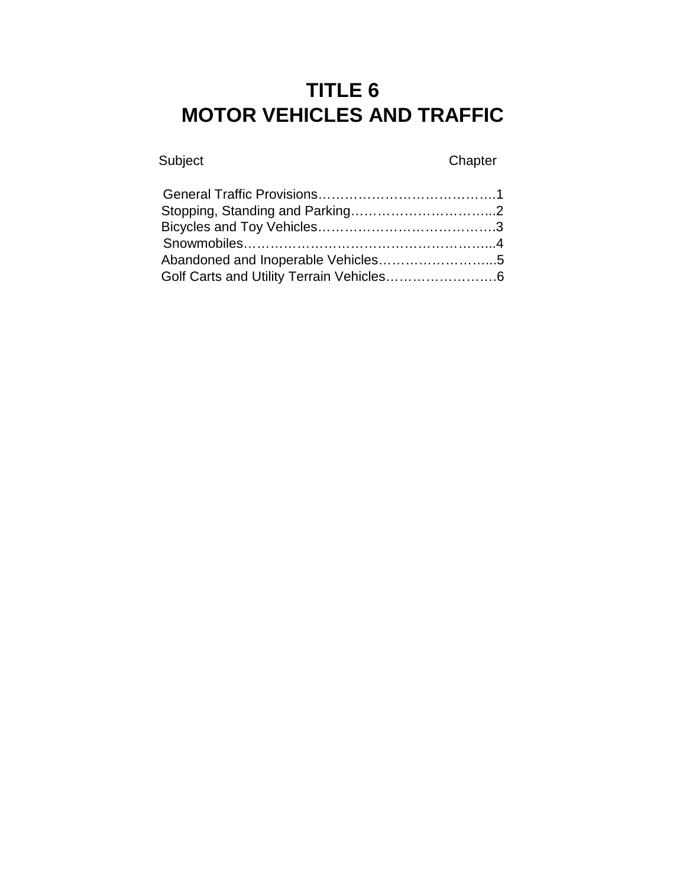# **TITLE 6 MOTOR VEHICLES AND TRAFFIC**

# Subject Chapter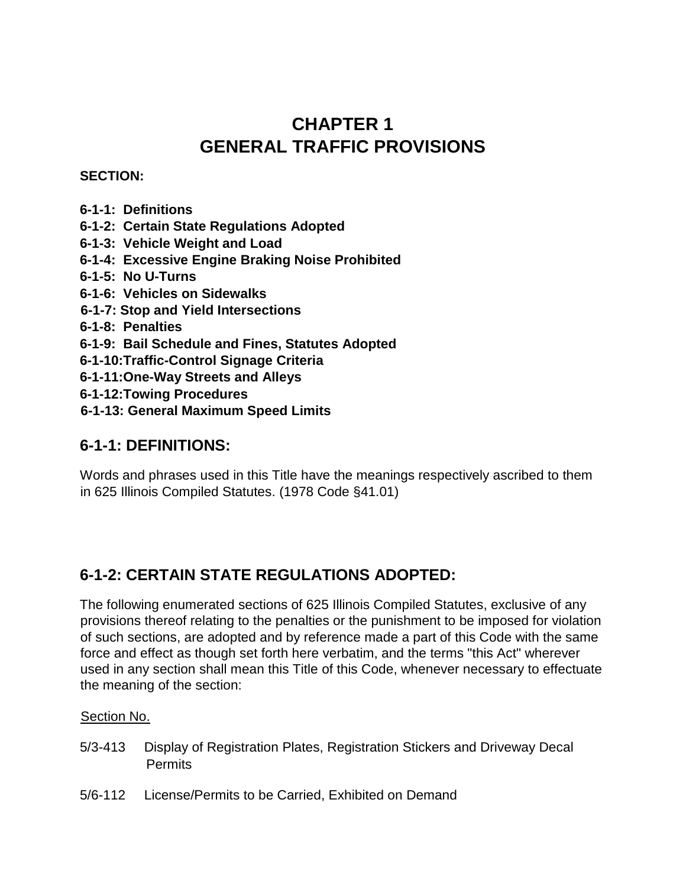# **CHAPTER 1 GENERAL TRAFFIC PROVISIONS**

#### **SECTION:**

- **6-1-1: Definitions**
- **6-1-2: Certain State Regulations Adopted**
- **6-1-3: Vehicle Weight and Load**
- **6-1-4: Excessive Engine Braking Noise Prohibited**
- **6-1-5: No U-Turns**
- **6-1-6: Vehicles on Sidewalks**
- **6-1-7: Stop and Yield Intersections**
- **6-1-8: Penalties**
- **6-1-9: Bail Schedule and Fines, Statutes Adopted**
- **6-1-10:Traffic-Control Signage Criteria**
- **6-1-11:One-Way Streets and Alleys**
- **6-1-12:Towing Procedures**
- **6-1-13: General Maximum Speed Limits**

#### **6-1-1: DEFINITIONS:**

Words and phrases used in this Title have the meanings respectively ascribed to them in 625 Illinois Compiled Statutes. (1978 Code §41.01)

#### **6-1-2: CERTAIN STATE REGULATIONS ADOPTED:**

The following enumerated sections of 625 Illinois Compiled Statutes, exclusive of any provisions thereof relating to the penalties or the punishment to be imposed for violation of such sections, are adopted and by reference made a part of this Code with the same force and effect as though set forth here verbatim, and the terms "this Act" wherever used in any section shall mean this Title of this Code, whenever necessary to effectuate the meaning of the section:

#### Section No.

- 5/3-413 Display of Registration Plates, Registration Stickers and Driveway Decal Permits
- 5/6-112 License/Permits to be Carried, Exhibited on Demand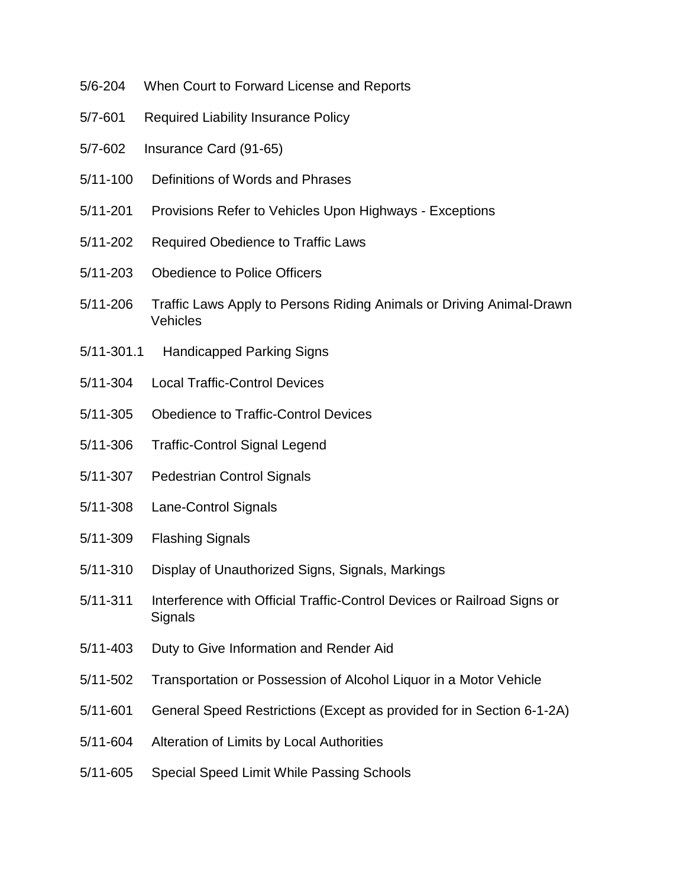- 5/6-204 When Court to Forward License and Reports
- 5/7-601 Required Liability Insurance Policy
- 5/7-602 Insurance Card (91-65)
- 5/11-100 Definitions of Words and Phrases
- 5/11-201 Provisions Refer to Vehicles Upon Highways Exceptions
- 5/11-202 Required Obedience to Traffic Laws
- 5/11-203 Obedience to Police Officers
- 5/11-206 Traffic Laws Apply to Persons Riding Animals or Driving Animal-Drawn Vehicles
- 5/11-301.1 Handicapped Parking Signs
- 5/11-304 Local Traffic-Control Devices
- 5/11-305 Obedience to Traffic-Control Devices
- 5/11-306 Traffic-Control Signal Legend
- 5/11-307 Pedestrian Control Signals
- 5/11-308 Lane-Control Signals
- 5/11-309 Flashing Signals
- 5/11-310 Display of Unauthorized Signs, Signals, Markings
- 5/11-311 Interference with Official Traffic-Control Devices or Railroad Signs or **Signals**
- 5/11-403 Duty to Give Information and Render Aid
- 5/11-502 Transportation or Possession of Alcohol Liquor in a Motor Vehicle
- 5/11-601 General Speed Restrictions (Except as provided for in Section 6-1-2A)
- 5/11-604 Alteration of Limits by Local Authorities
- 5/11-605 Special Speed Limit While Passing Schools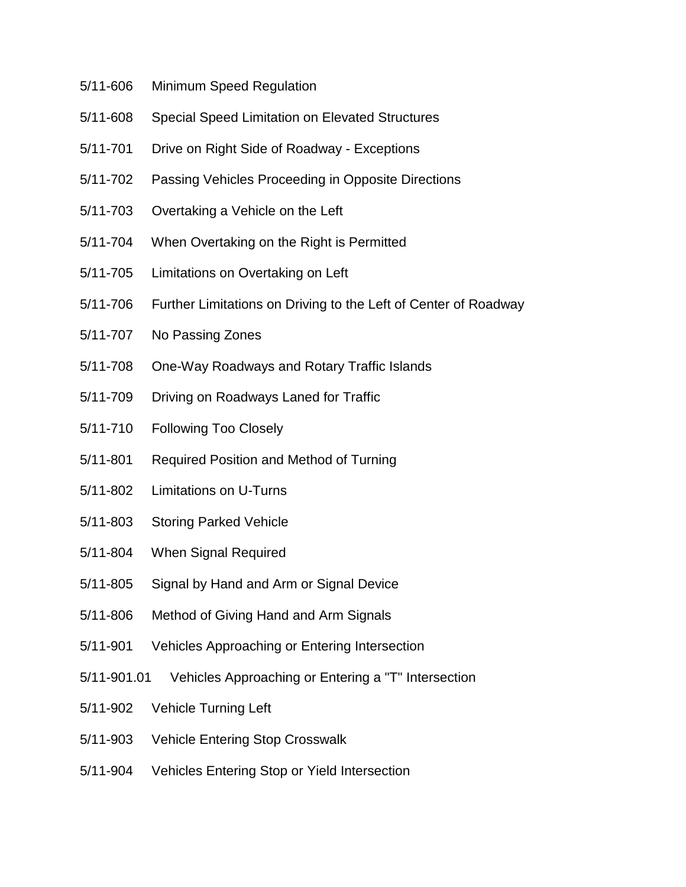- 5/11-606 Minimum Speed Regulation
- 5/11-608 Special Speed Limitation on Elevated Structures
- 5/11-701 Drive on Right Side of Roadway Exceptions
- 5/11-702 Passing Vehicles Proceeding in Opposite Directions
- 5/11-703 Overtaking a Vehicle on the Left
- 5/11-704 When Overtaking on the Right is Permitted
- 5/11-705 Limitations on Overtaking on Left
- 5/11-706 Further Limitations on Driving to the Left of Center of Roadway
- 5/11-707 No Passing Zones
- 5/11-708 One-Way Roadways and Rotary Traffic Islands
- 5/11-709 Driving on Roadways Laned for Traffic
- 5/11-710 Following Too Closely
- 5/11-801 Required Position and Method of Turning
- 5/11-802 Limitations on U-Turns
- 5/11-803 Storing Parked Vehicle
- 5/11-804 When Signal Required
- 5/11-805 Signal by Hand and Arm or Signal Device
- 5/11-806 Method of Giving Hand and Arm Signals
- 5/11-901 Vehicles Approaching or Entering Intersection
- 5/11-901.01 Vehicles Approaching or Entering a "T" Intersection
- 5/11-902 Vehicle Turning Left
- 5/11-903 Vehicle Entering Stop Crosswalk
- 5/11-904 Vehicles Entering Stop or Yield Intersection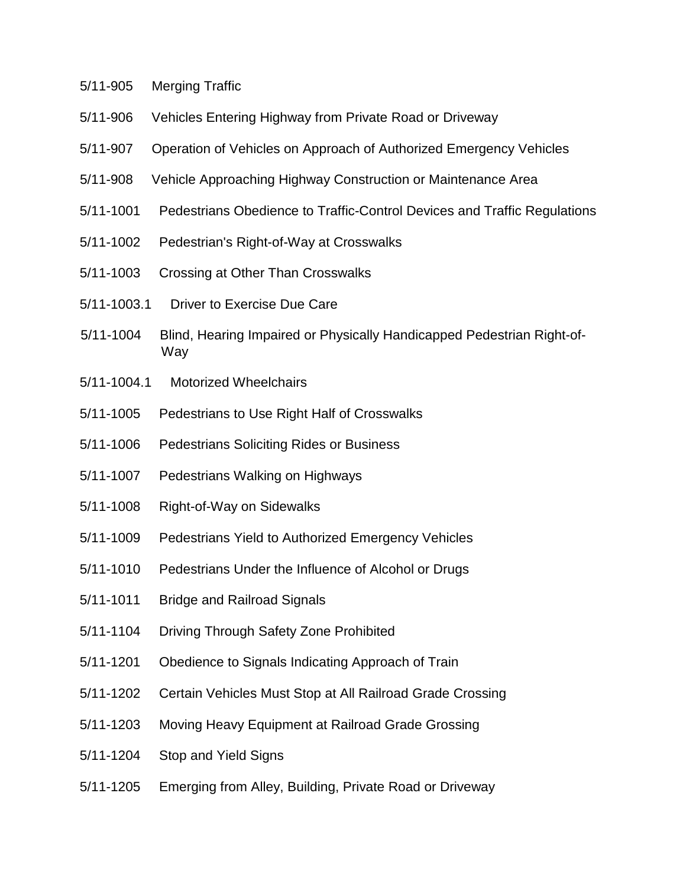- 5/11-905 Merging Traffic
- 5/11-906 Vehicles Entering Highway from Private Road or Driveway
- 5/11-907 Operation of Vehicles on Approach of Authorized Emergency Vehicles
- 5/11-908 Vehicle Approaching Highway Construction or Maintenance Area
- 5/11-1001 Pedestrians Obedience to Traffic-Control Devices and Traffic Regulations
- 5/11-1002 Pedestrian's Right-of-Way at Crosswalks
- 5/11-1003 Crossing at Other Than Crosswalks
- 5/11-1003.1 Driver to Exercise Due Care
- 5/11-1004 Blind, Hearing Impaired or Physically Handicapped Pedestrian Right-of-Way
- 5/11-1004.1 Motorized Wheelchairs
- 5/11-1005 Pedestrians to Use Right Half of Crosswalks
- 5/11-1006 Pedestrians Soliciting Rides or Business
- 5/11-1007 Pedestrians Walking on Highways
- 5/11-1008 Right-of-Way on Sidewalks
- 5/11-1009 Pedestrians Yield to Authorized Emergency Vehicles
- 5/11-1010 Pedestrians Under the Influence of Alcohol or Drugs
- 5/11-1011 Bridge and Railroad Signals
- 5/11-1104 Driving Through Safety Zone Prohibited
- 5/11-1201 Obedience to Signals Indicating Approach of Train
- 5/11-1202 Certain Vehicles Must Stop at All Railroad Grade Crossing
- 5/11-1203 Moving Heavy Equipment at Railroad Grade Grossing
- 5/11-1204 Stop and Yield Signs
- 5/11-1205 Emerging from Alley, Building, Private Road or Driveway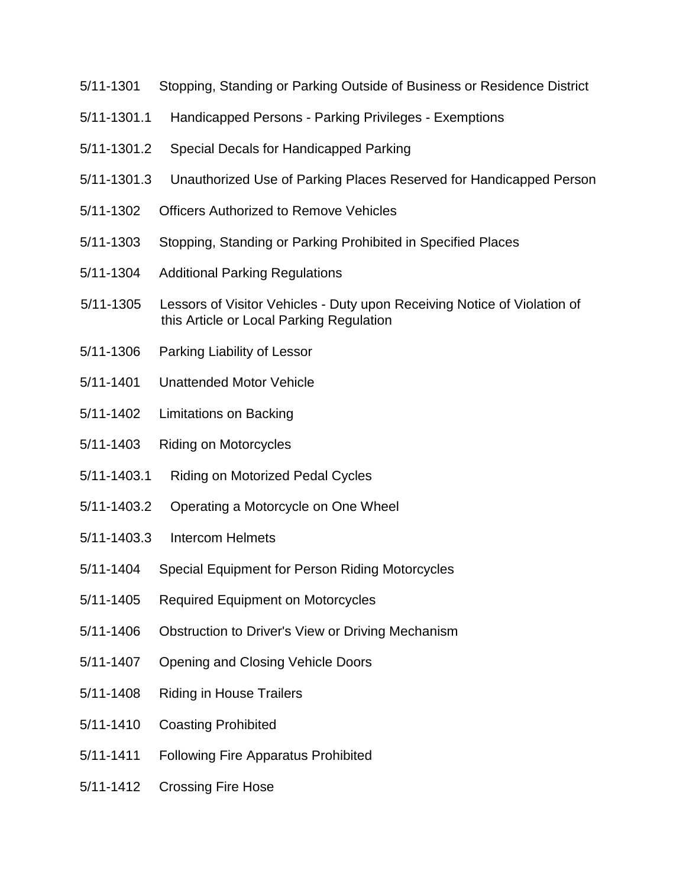- 5/11-1301 Stopping, Standing or Parking Outside of Business or Residence District
- 5/11-1301.1 Handicapped Persons Parking Privileges Exemptions
- 5/11-1301.2 Special Decals for Handicapped Parking
- 5/11-1301.3 Unauthorized Use of Parking Places Reserved for Handicapped Person
- 5/11-1302 Officers Authorized to Remove Vehicles
- 5/11-1303 Stopping, Standing or Parking Prohibited in Specified Places
- 5/11-1304 Additional Parking Regulations
- 5/11-1305 Lessors of Visitor Vehicles Duty upon Receiving Notice of Violation of this Article or Local Parking Regulation
- 5/11-1306 Parking Liability of Lessor
- 5/11-1401 Unattended Motor Vehicle
- 5/11-1402 Limitations on Backing
- 5/11-1403 Riding on Motorcycles
- 5/11-1403.1 Riding on Motorized Pedal Cycles
- 5/11-1403.2 Operating a Motorcycle on One Wheel
- 5/11-1403.3 Intercom Helmets
- 5/11-1404 Special Equipment for Person Riding Motorcycles
- 5/11-1405 Required Equipment on Motorcycles
- 5/11-1406 Obstruction to Driver's View or Driving Mechanism
- 5/11-1407 Opening and Closing Vehicle Doors
- 5/11-1408 Riding in House Trailers
- 5/11-1410 Coasting Prohibited
- 5/11-1411 Following Fire Apparatus Prohibited
- 5/11-1412 Crossing Fire Hose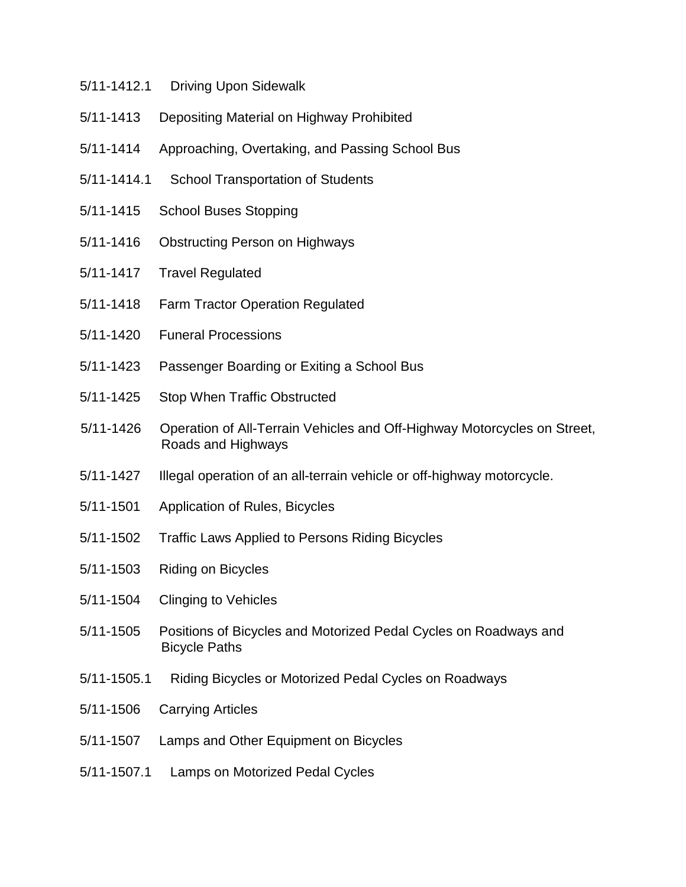- 5/11-1412.1 Driving Upon Sidewalk
- 5/11-1413 Depositing Material on Highway Prohibited
- 5/11-1414 Approaching, Overtaking, and Passing School Bus
- 5/11-1414.1 School Transportation of Students
- 5/11-1415 School Buses Stopping
- 5/11-1416 Obstructing Person on Highways
- 5/11-1417 Travel Regulated
- 5/11-1418 Farm Tractor Operation Regulated
- 5/11-1420 Funeral Processions
- 5/11-1423 Passenger Boarding or Exiting a School Bus
- 5/11-1425 Stop When Traffic Obstructed
- 5/11-1426 Operation of All-Terrain Vehicles and Off-Highway Motorcycles on Street, Roads and Highways
- 5/11-1427 Illegal operation of an all-terrain vehicle or off-highway motorcycle.
- 5/11-1501 Application of Rules, Bicycles
- 5/11-1502 Traffic Laws Applied to Persons Riding Bicycles
- 5/11-1503 Riding on Bicycles
- 5/11-1504 Clinging to Vehicles
- 5/11-1505 Positions of Bicycles and Motorized Pedal Cycles on Roadways and Bicycle Paths
- 5/11-1505.1 Riding Bicycles or Motorized Pedal Cycles on Roadways
- 5/11-1506 Carrying Articles
- 5/11-1507 Lamps and Other Equipment on Bicycles
- 5/11-1507.1 Lamps on Motorized Pedal Cycles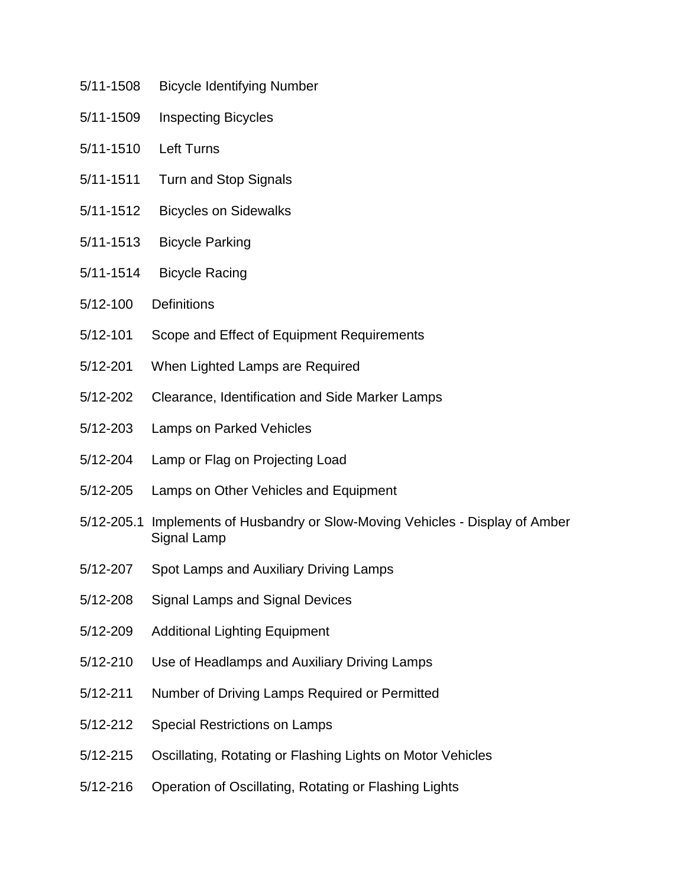- 5/11-1508 Bicycle Identifying Number
- 5/11-1509 Inspecting Bicycles
- 5/11-1510 Left Turns
- 5/11-1511 Turn and Stop Signals
- 5/11-1512 Bicycles on Sidewalks
- 5/11-1513 Bicycle Parking
- 5/11-1514 Bicycle Racing
- 5/12-100 Definitions
- 5/12-101 Scope and Effect of Equipment Requirements
- 5/12-201 When Lighted Lamps are Required
- 5/12-202 Clearance, Identification and Side Marker Lamps
- 5/12-203 Lamps on Parked Vehicles
- 5/12-204 Lamp or Flag on Projecting Load
- 5/12-205 Lamps on Other Vehicles and Equipment
- 5/12-205.1 Implements of Husbandry or Slow-Moving Vehicles Display of Amber Signal Lamp
- 5/12-207 Spot Lamps and Auxiliary Driving Lamps
- 5/12-208 Signal Lamps and Signal Devices
- 5/12-209 Additional Lighting Equipment
- 5/12-210 Use of Headlamps and Auxiliary Driving Lamps
- 5/12-211 Number of Driving Lamps Required or Permitted
- 5/12-212 Special Restrictions on Lamps
- 5/12-215 Oscillating, Rotating or Flashing Lights on Motor Vehicles
- 5/12-216 Operation of Oscillating, Rotating or Flashing Lights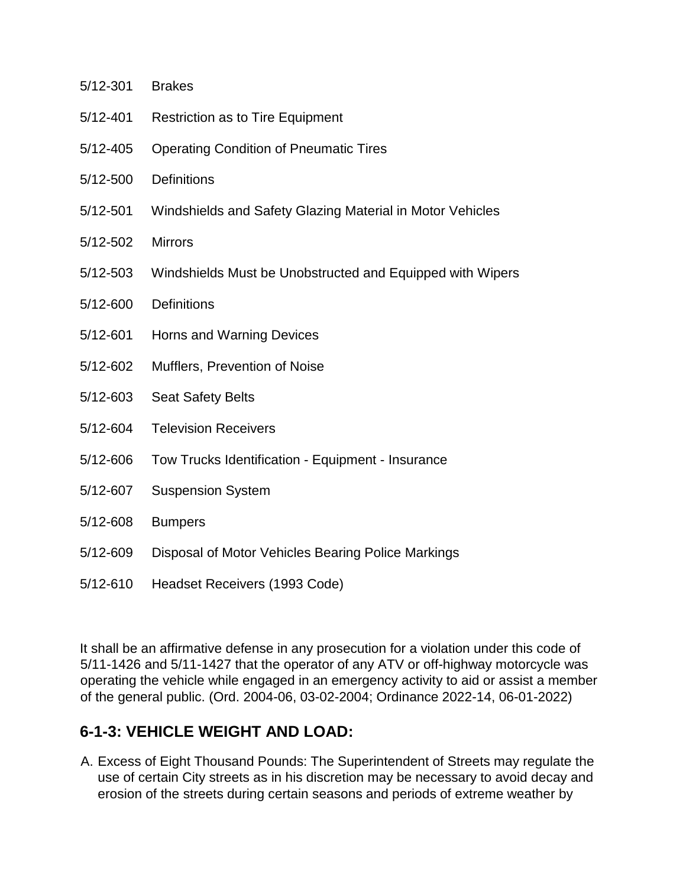- 5/12-301 Brakes
- 5/12-401 Restriction as to Tire Equipment
- 5/12-405 Operating Condition of Pneumatic Tires
- 5/12-500 Definitions
- 5/12-501 Windshields and Safety Glazing Material in Motor Vehicles
- 5/12-502 Mirrors
- 5/12-503 Windshields Must be Unobstructed and Equipped with Wipers
- 5/12-600 Definitions
- 5/12-601 Horns and Warning Devices
- 5/12-602 Mufflers, Prevention of Noise
- 5/12-603 Seat Safety Belts
- 5/12-604 Television Receivers
- 5/12-606 Tow Trucks Identification Equipment Insurance
- 5/12-607 Suspension System
- 5/12-608 Bumpers
- 5/12-609 Disposal of Motor Vehicles Bearing Police Markings
- 5/12-610 Headset Receivers (1993 Code)

It shall be an affirmative defense in any prosecution for a violation under this code of 5/11-1426 and 5/11-1427 that the operator of any ATV or off-highway motorcycle was operating the vehicle while engaged in an emergency activity to aid or assist a member of the general public. (Ord. 2004-06, 03-02-2004; Ordinance 2022-14, 06-01-2022)

#### **6-1-3: VEHICLE WEIGHT AND LOAD:**

A. Excess of Eight Thousand Pounds: The Superintendent of Streets may regulate the use of certain City streets as in his discretion may be necessary to avoid decay and erosion of the streets during certain seasons and periods of extreme weather by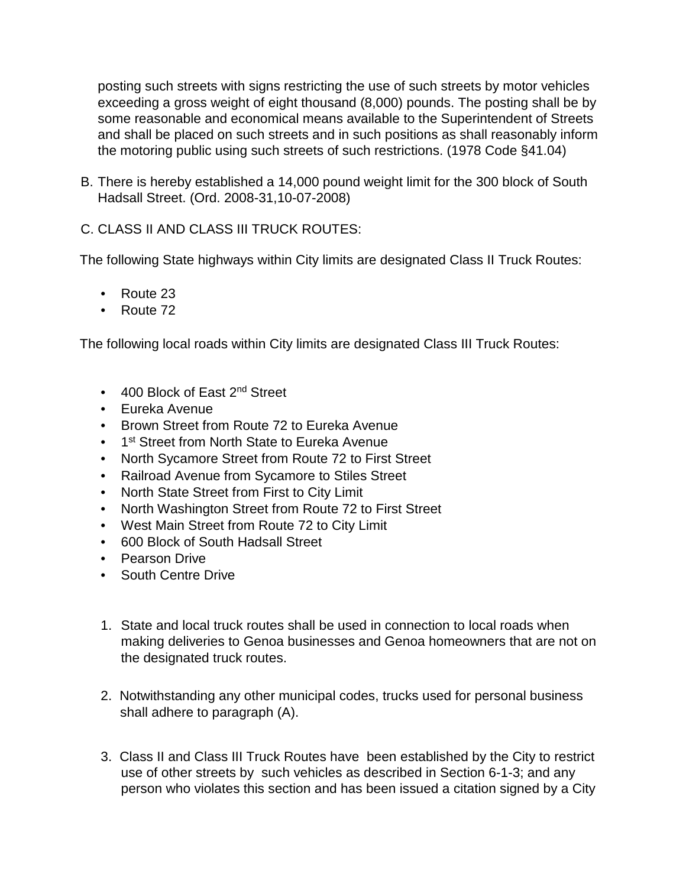posting such streets with signs restricting the use of such streets by motor vehicles exceeding a gross weight of eight thousand (8,000) pounds. The posting shall be by some reasonable and economical means available to the Superintendent of Streets and shall be placed on such streets and in such positions as shall reasonably inform the motoring public using such streets of such restrictions. (1978 Code §41.04)

B. There is hereby established a 14,000 pound weight limit for the 300 block of South Hadsall Street. (Ord. 2008-31,10-07-2008)

C. CLASS II AND CLASS III TRUCK ROUTES:

The following State highways within City limits are designated Class II Truck Routes:

- Route 23
- Route 72

The following local roads within City limits are designated Class III Truck Routes:

- 400 Block of East 2<sup>nd</sup> Street
- Eureka Avenue
- Brown Street from Route 72 to Eureka Avenue
- 1<sup>st</sup> Street from North State to Eureka Avenue
- North Sycamore Street from Route 72 to First Street
- Railroad Avenue from Sycamore to Stiles Street
- North State Street from First to City Limit
- North Washington Street from Route 72 to First Street
- West Main Street from Route 72 to City Limit
- 600 Block of South Hadsall Street
- Pearson Drive
- South Centre Drive
- 1. State and local truck routes shall be used in connection to local roads when making deliveries to Genoa businesses and Genoa homeowners that are not on the designated truck routes.
- 2. Notwithstanding any other municipal codes, trucks used for personal business shall adhere to paragraph (A).
- 3. Class II and Class III Truck Routes have been established by the City to restrict use of other streets by such vehicles as described in Section 6-1-3; and any person who violates this section and has been issued a citation signed by a City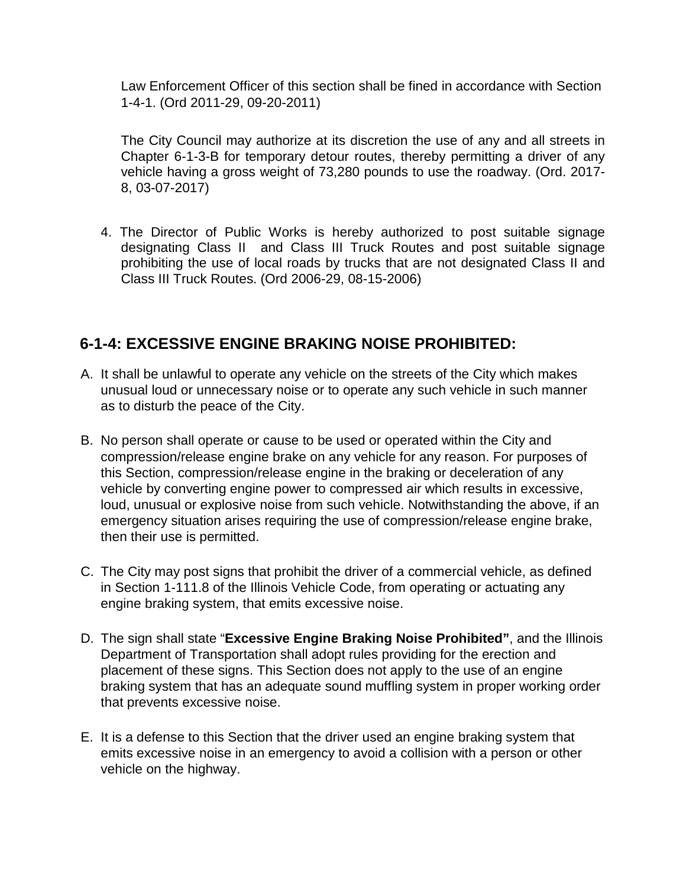Law Enforcement Officer of this section shall be fined in accordance with Section 1-4-1. (Ord 2011-29, 09-20-2011)

The City Council may authorize at its discretion the use of any and all streets in Chapter 6-1-3-B for temporary detour routes, thereby permitting a driver of any vehicle having a gross weight of 73,280 pounds to use the roadway. (Ord. 2017- 8, 03-07-2017)

4. The Director of Public Works is hereby authorized to post suitable signage designating Class II and Class III Truck Routes and post suitable signage prohibiting the use of local roads by trucks that are not designated Class II and Class III Truck Routes. (Ord 2006-29, 08-15-2006)

#### **6-1-4: EXCESSIVE ENGINE BRAKING NOISE PROHIBITED:**

- A. It shall be unlawful to operate any vehicle on the streets of the City which makes unusual loud or unnecessary noise or to operate any such vehicle in such manner as to disturb the peace of the City.
- B. No person shall operate or cause to be used or operated within the City and compression/release engine brake on any vehicle for any reason. For purposes of this Section, compression/release engine in the braking or deceleration of any vehicle by converting engine power to compressed air which results in excessive, loud, unusual or explosive noise from such vehicle. Notwithstanding the above, if an emergency situation arises requiring the use of compression/release engine brake, then their use is permitted.
- C. The City may post signs that prohibit the driver of a commercial vehicle, as defined in Section 1-111.8 of the Illinois Vehicle Code, from operating or actuating any engine braking system, that emits excessive noise.
- D. The sign shall state "**Excessive Engine Braking Noise Prohibited"**, and the Illinois Department of Transportation shall adopt rules providing for the erection and placement of these signs. This Section does not apply to the use of an engine braking system that has an adequate sound muffling system in proper working order that prevents excessive noise.
- E. It is a defense to this Section that the driver used an engine braking system that emits excessive noise in an emergency to avoid a collision with a person or other vehicle on the highway.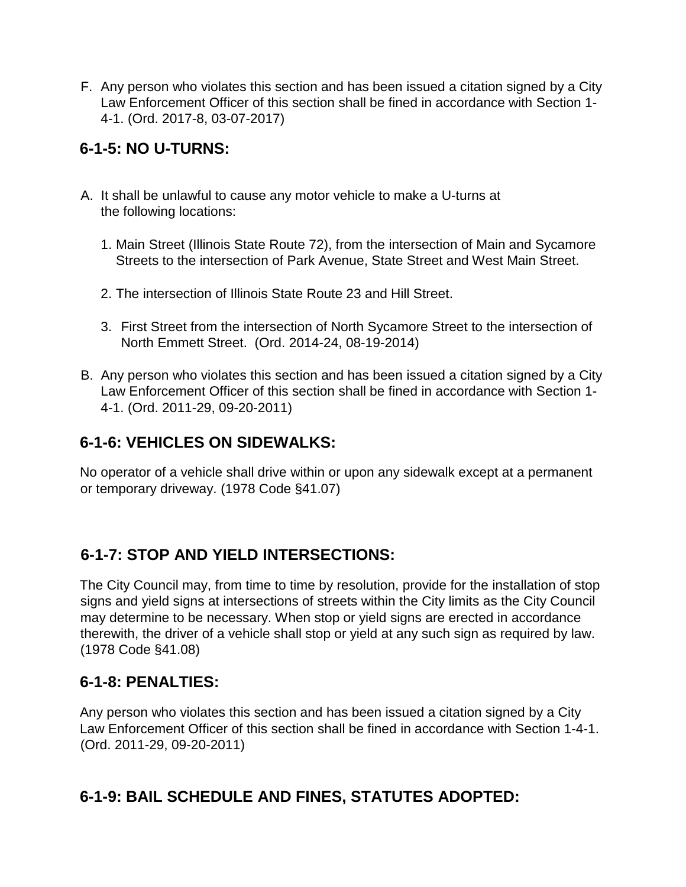F. Any person who violates this section and has been issued a citation signed by a City Law Enforcement Officer of this section shall be fined in accordance with Section 1- 4-1. (Ord. 2017-8, 03-07-2017)

## **6-1-5: NO U-TURNS:**

- A. It shall be unlawful to cause any motor vehicle to make a U-turns at the following locations:
	- 1. Main Street (Illinois State Route 72), from the intersection of Main and Sycamore Streets to the intersection of Park Avenue, State Street and West Main Street.
	- 2. The intersection of Illinois State Route 23 and Hill Street.
	- 3. First Street from the intersection of North Sycamore Street to the intersection of North Emmett Street. (Ord. 2014-24, 08-19-2014)
- B. Any person who violates this section and has been issued a citation signed by a City Law Enforcement Officer of this section shall be fined in accordance with Section 1- 4-1. (Ord. 2011-29, 09-20-2011)

## **6-1-6: VEHICLES ON SIDEWALKS:**

No operator of a vehicle shall drive within or upon any sidewalk except at a permanent or temporary driveway. (1978 Code §41.07)

#### **6-1-7: STOP AND YIELD INTERSECTIONS:**

The City Council may, from time to time by resolution, provide for the installation of stop signs and yield signs at intersections of streets within the City limits as the City Council may determine to be necessary. When stop or yield signs are erected in accordance therewith, the driver of a vehicle shall stop or yield at any such sign as required by law. (1978 Code §41.08)

#### **6-1-8: PENALTIES:**

Any person who violates this section and has been issued a citation signed by a City Law Enforcement Officer of this section shall be fined in accordance with Section 1-4-1. (Ord. 2011-29, 09-20-2011)

# **6-1-9: BAIL SCHEDULE AND FINES, STATUTES ADOPTED:**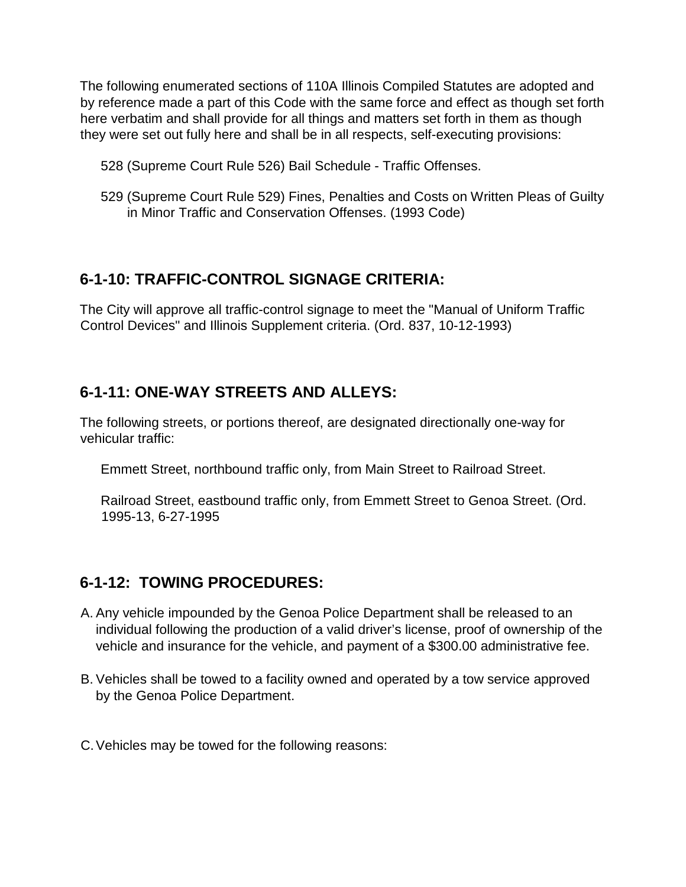The following enumerated sections of 110A Illinois Compiled Statutes are adopted and by reference made a part of this Code with the same force and effect as though set forth here verbatim and shall provide for all things and matters set forth in them as though they were set out fully here and shall be in all respects, self-executing provisions:

- 528 (Supreme Court Rule 526) Bail Schedule Traffic Offenses.
- 529 (Supreme Court Rule 529) Fines, Penalties and Costs on Written Pleas of Guilty in Minor Traffic and Conservation Offenses. (1993 Code)

#### **6-1-10: TRAFFIC-CONTROL SIGNAGE CRITERIA:**

The City will approve all traffic-control signage to meet the "Manual of Uniform Traffic Control Devices" and Illinois Supplement criteria. (Ord. 837, 10-12-1993)

#### **6-1-11: ONE-WAY STREETS AND ALLEYS:**

The following streets, or portions thereof, are designated directionally one-way for vehicular traffic:

Emmett Street, northbound traffic only, from Main Street to Railroad Street.

Railroad Street, eastbound traffic only, from Emmett Street to Genoa Street. (Ord. 1995-13, 6-27-1995

#### **6-1-12: TOWING PROCEDURES:**

- A. Any vehicle impounded by the Genoa Police Department shall be released to an individual following the production of a valid driver's license, proof of ownership of the vehicle and insurance for the vehicle, and payment of a \$300.00 administrative fee.
- B. Vehicles shall be towed to a facility owned and operated by a tow service approved by the Genoa Police Department.
- C.Vehicles may be towed for the following reasons: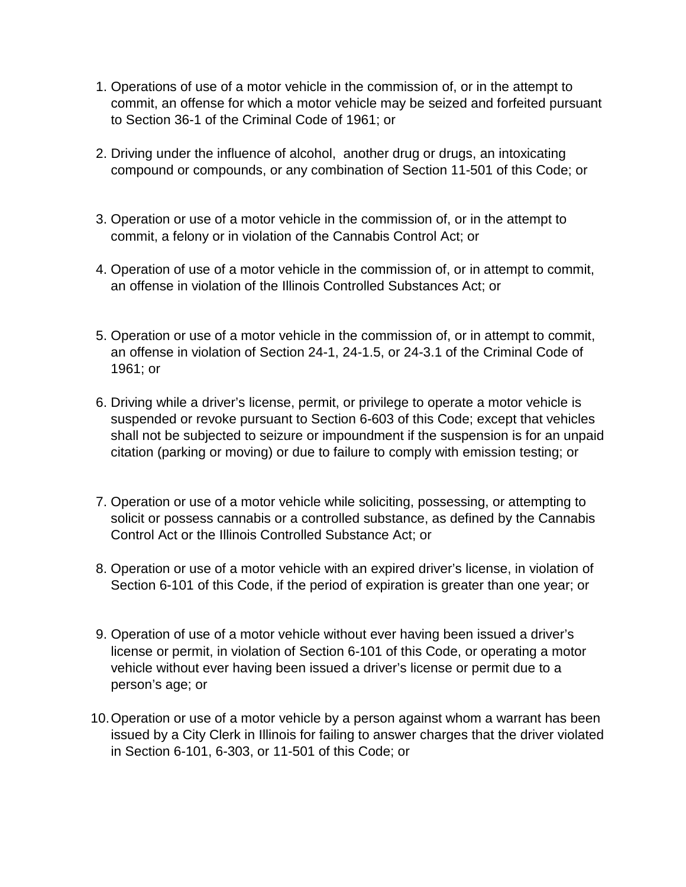- 1. Operations of use of a motor vehicle in the commission of, or in the attempt to commit, an offense for which a motor vehicle may be seized and forfeited pursuant to Section 36-1 of the Criminal Code of 1961; or
- 2. Driving under the influence of alcohol, another drug or drugs, an intoxicating compound or compounds, or any combination of Section 11-501 of this Code; or
- 3. Operation or use of a motor vehicle in the commission of, or in the attempt to commit, a felony or in violation of the Cannabis Control Act; or
- 4. Operation of use of a motor vehicle in the commission of, or in attempt to commit, an offense in violation of the Illinois Controlled Substances Act; or
- 5. Operation or use of a motor vehicle in the commission of, or in attempt to commit, an offense in violation of Section 24-1, 24-1.5, or 24-3.1 of the Criminal Code of 1961; or
- 6. Driving while a driver's license, permit, or privilege to operate a motor vehicle is suspended or revoke pursuant to Section 6-603 of this Code; except that vehicles shall not be subjected to seizure or impoundment if the suspension is for an unpaid citation (parking or moving) or due to failure to comply with emission testing; or
- 7. Operation or use of a motor vehicle while soliciting, possessing, or attempting to solicit or possess cannabis or a controlled substance, as defined by the Cannabis Control Act or the Illinois Controlled Substance Act; or
- 8. Operation or use of a motor vehicle with an expired driver's license, in violation of Section 6-101 of this Code, if the period of expiration is greater than one year; or
- 9. Operation of use of a motor vehicle without ever having been issued a driver's license or permit, in violation of Section 6-101 of this Code, or operating a motor vehicle without ever having been issued a driver's license or permit due to a person's age; or
- 10.Operation or use of a motor vehicle by a person against whom a warrant has been issued by a City Clerk in Illinois for failing to answer charges that the driver violated in Section 6-101, 6-303, or 11-501 of this Code; or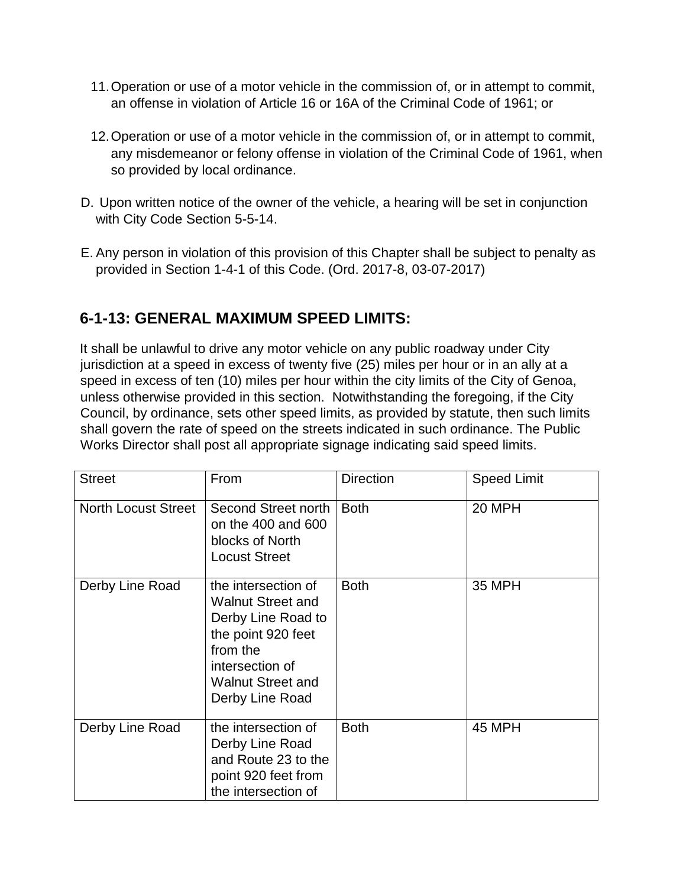- 11.Operation or use of a motor vehicle in the commission of, or in attempt to commit, an offense in violation of Article 16 or 16A of the Criminal Code of 1961; or
- 12.Operation or use of a motor vehicle in the commission of, or in attempt to commit, any misdemeanor or felony offense in violation of the Criminal Code of 1961, when so provided by local ordinance.
- D. Upon written notice of the owner of the vehicle, a hearing will be set in conjunction with City Code Section 5-5-14.
- E. Any person in violation of this provision of this Chapter shall be subject to penalty as provided in Section 1-4-1 of this Code. (Ord. 2017-8, 03-07-2017)

## **6-1-13: GENERAL MAXIMUM SPEED LIMITS:**

It shall be unlawful to drive any motor vehicle on any public roadway under City jurisdiction at a speed in excess of twenty five (25) miles per hour or in an ally at a speed in excess of ten (10) miles per hour within the city limits of the City of Genoa, unless otherwise provided in this section. Notwithstanding the foregoing, if the City Council, by ordinance, sets other speed limits, as provided by statute, then such limits shall govern the rate of speed on the streets indicated in such ordinance. The Public Works Director shall post all appropriate signage indicating said speed limits.

| <b>Street</b>              | From                                                                                                                                                                      | <b>Direction</b> | <b>Speed Limit</b> |
|----------------------------|---------------------------------------------------------------------------------------------------------------------------------------------------------------------------|------------------|--------------------|
| <b>North Locust Street</b> | Second Street north<br>on the 400 and 600<br>blocks of North<br><b>Locust Street</b>                                                                                      | <b>Both</b>      | 20 MPH             |
| Derby Line Road            | the intersection of<br><b>Walnut Street and</b><br>Derby Line Road to<br>the point 920 feet<br>from the<br>intersection of<br><b>Walnut Street and</b><br>Derby Line Road | <b>Both</b>      | 35 MPH             |
| Derby Line Road            | the intersection of<br>Derby Line Road<br>and Route 23 to the<br>point 920 feet from<br>the intersection of                                                               | <b>Both</b>      | <b>45 MPH</b>      |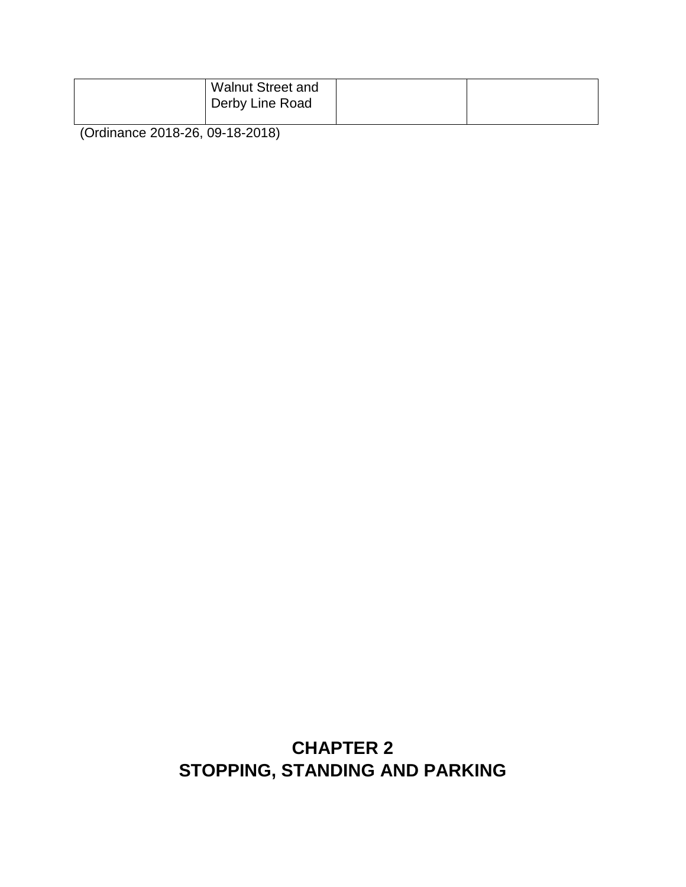| <b>Walnut Street and</b><br>Derby Line Road |  |
|---------------------------------------------|--|
|                                             |  |

(Ordinance 2018-26, 09-18-2018)

# **CHAPTER 2 STOPPING, STANDING AND PARKING**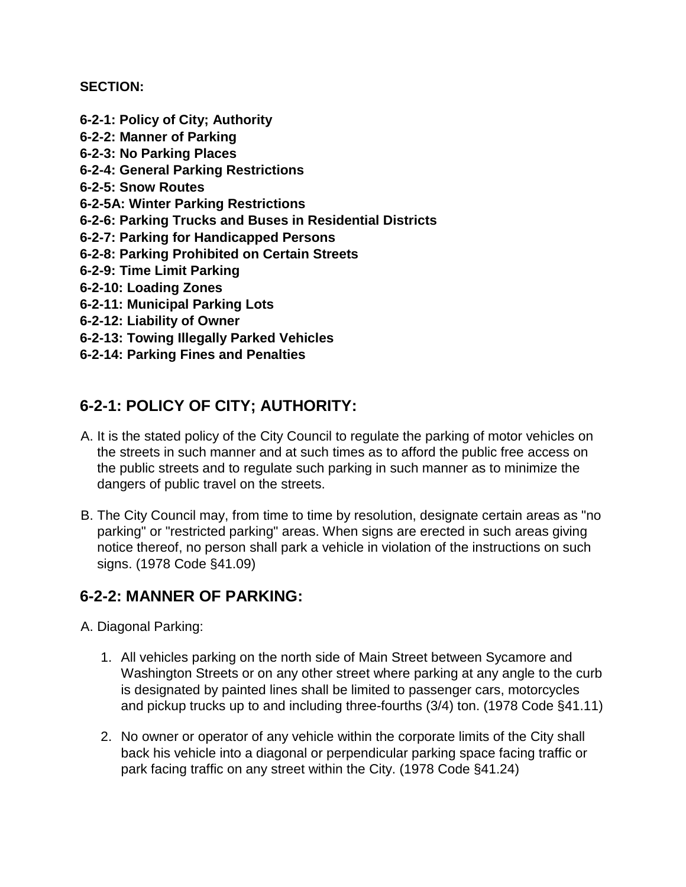#### **SECTION:**

- **6-2-1: Policy of City; Authority 6-2-2: Manner of Parking 6-2-3: No Parking Places 6-2-4: General Parking Restrictions 6-2-5: Snow Routes 6-2-5A: Winter Parking Restrictions 6-2-6: Parking Trucks and Buses in Residential Districts 6-2-7: Parking for Handicapped Persons 6-2-8: Parking Prohibited on Certain Streets 6-2-9: Time Limit Parking 6-2-10: Loading Zones 6-2-11: Municipal Parking Lots 6-2-12: Liability of Owner 6-2-13: Towing Illegally Parked Vehicles**
- **6-2-14: Parking Fines and Penalties**

## **6-2-1: POLICY OF CITY; AUTHORITY:**

- A. It is the stated policy of the City Council to regulate the parking of motor vehicles on the streets in such manner and at such times as to afford the public free access on the public streets and to regulate such parking in such manner as to minimize the dangers of public travel on the streets.
- B. The City Council may, from time to time by resolution, designate certain areas as "no parking" or "restricted parking" areas. When signs are erected in such areas giving notice thereof, no person shall park a vehicle in violation of the instructions on such signs. (1978 Code §41.09)

#### **6-2-2: MANNER OF PARKING:**

- A. Diagonal Parking:
	- 1. All vehicles parking on the north side of Main Street between Sycamore and Washington Streets or on any other street where parking at any angle to the curb is designated by painted lines shall be limited to passenger cars, motorcycles and pickup trucks up to and including three-fourths (3/4) ton. (1978 Code §41.11)
	- 2. No owner or operator of any vehicle within the corporate limits of the City shall back his vehicle into a diagonal or perpendicular parking space facing traffic or park facing traffic on any street within the City. (1978 Code §41.24)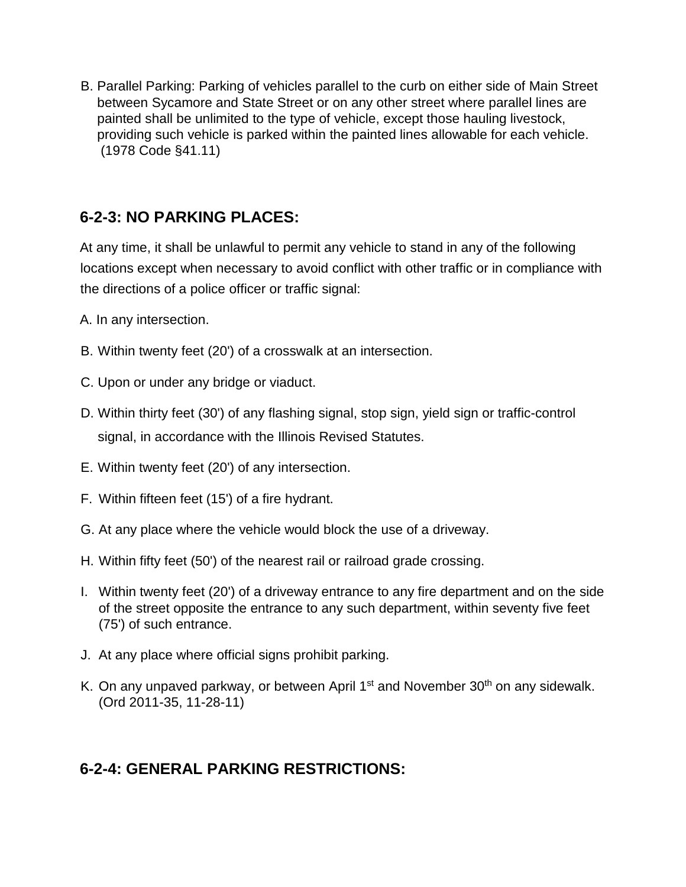B. Parallel Parking: Parking of vehicles parallel to the curb on either side of Main Street between Sycamore and State Street or on any other street where parallel lines are painted shall be unlimited to the type of vehicle, except those hauling livestock, providing such vehicle is parked within the painted lines allowable for each vehicle. (1978 Code §41.11)

## **6-2-3: NO PARKING PLACES:**

At any time, it shall be unlawful to permit any vehicle to stand in any of the following locations except when necessary to avoid conflict with other traffic or in compliance with the directions of a police officer or traffic signal:

- A. In any intersection.
- B. Within twenty feet (20') of a crosswalk at an intersection.
- C. Upon or under any bridge or viaduct.
- D. Within thirty feet (30') of any flashing signal, stop sign, yield sign or traffic-control signal, in accordance with the Illinois Revised Statutes.
- E. Within twenty feet (20') of any intersection.
- F. Within fifteen feet (15') of a fire hydrant.
- G. At any place where the vehicle would block the use of a driveway.
- H. Within fifty feet (50') of the nearest rail or railroad grade crossing.
- I. Within twenty feet (20') of a driveway entrance to any fire department and on the side of the street opposite the entrance to any such department, within seventy five feet (75') of such entrance.
- J. At any place where official signs prohibit parking.
- K. On any unpaved parkway, or between April 1<sup>st</sup> and November 30<sup>th</sup> on any sidewalk. (Ord 2011-35, 11-28-11)

#### **6-2-4: GENERAL PARKING RESTRICTIONS:**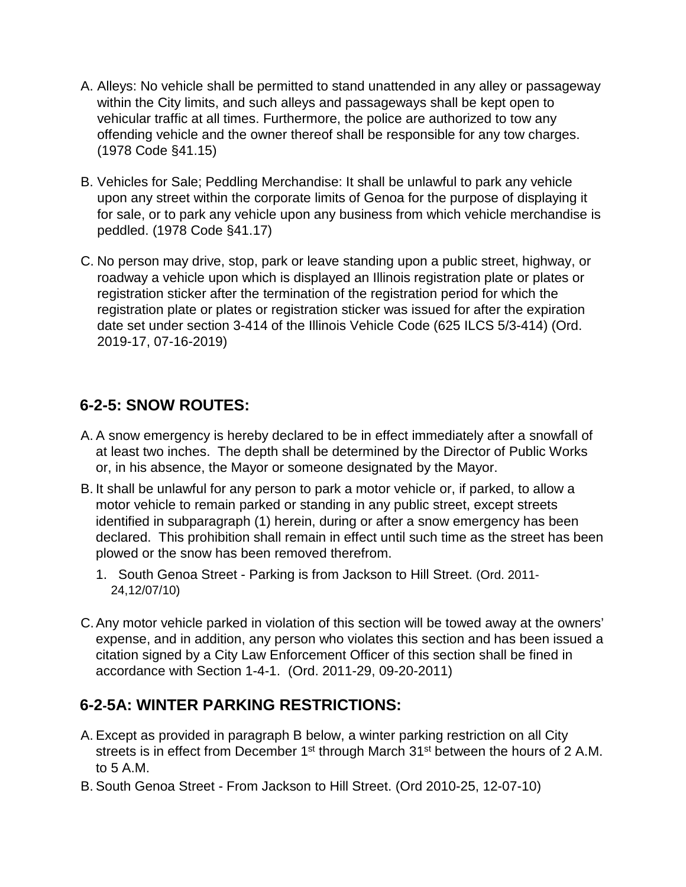- A. Alleys: No vehicle shall be permitted to stand unattended in any alley or passageway within the City limits, and such alleys and passageways shall be kept open to vehicular traffic at all times. Furthermore, the police are authorized to tow any offending vehicle and the owner thereof shall be responsible for any tow charges. (1978 Code §41.15)
- B. Vehicles for Sale; Peddling Merchandise: It shall be unlawful to park any vehicle upon any street within the corporate limits of Genoa for the purpose of displaying it for sale, or to park any vehicle upon any business from which vehicle merchandise is peddled. (1978 Code §41.17)
- C. No person may drive, stop, park or leave standing upon a public street, highway, or roadway a vehicle upon which is displayed an Illinois registration plate or plates or registration sticker after the termination of the registration period for which the registration plate or plates or registration sticker was issued for after the expiration date set under section 3-414 of the Illinois Vehicle Code (625 ILCS 5/3-414) (Ord. 2019-17, 07-16-2019)

# **6-2-5: SNOW ROUTES:**

- A. A snow emergency is hereby declared to be in effect immediately after a snowfall of at least two inches. The depth shall be determined by the Director of Public Works or, in his absence, the Mayor or someone designated by the Mayor.
- B. It shall be unlawful for any person to park a motor vehicle or, if parked, to allow a motor vehicle to remain parked or standing in any public street, except streets identified in subparagraph (1) herein, during or after a snow emergency has been declared. This prohibition shall remain in effect until such time as the street has been plowed or the snow has been removed therefrom.
	- 1. South Genoa Street Parking is from Jackson to Hill Street. (Ord. 2011- 24,12/07/10)
- C.Any motor vehicle parked in violation of this section will be towed away at the owners' expense, and in addition, any person who violates this section and has been issued a citation signed by a City Law Enforcement Officer of this section shall be fined in accordance with Section 1-4-1. (Ord. 2011-29, 09-20-2011)

#### **6-2-5A: WINTER PARKING RESTRICTIONS:**

- A. Except as provided in paragraph B below, a winter parking restriction on all City streets is in effect from December 1<sup>st</sup> through March 31<sup>st</sup> between the hours of 2 A.M. to 5 A.M.
- B. South Genoa Street From Jackson to Hill Street. (Ord 2010-25, 12-07-10)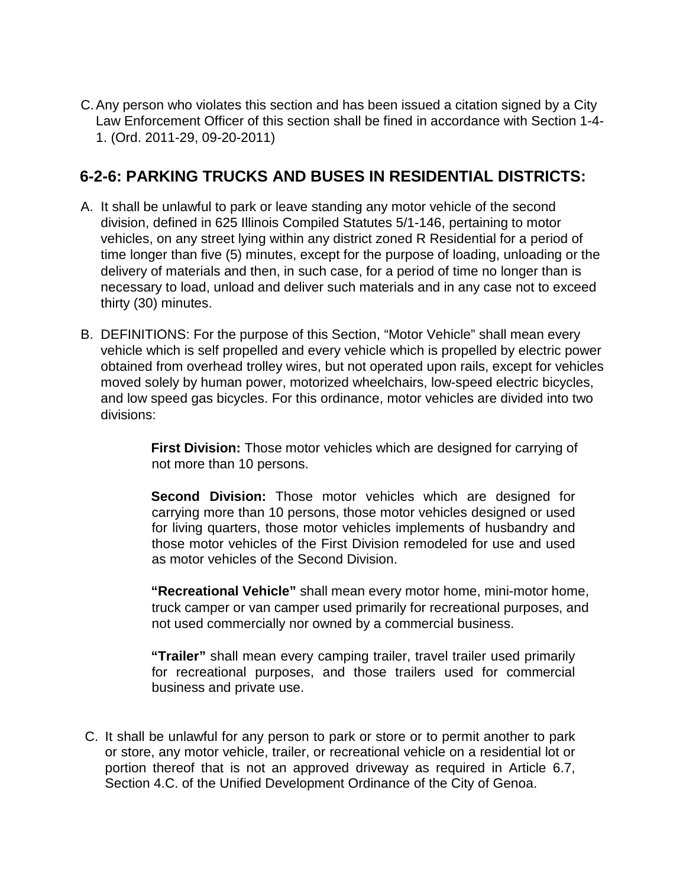C.Any person who violates this section and has been issued a citation signed by a City Law Enforcement Officer of this section shall be fined in accordance with Section 1-4- 1. (Ord. 2011-29, 09-20-2011)

#### **6-2-6: PARKING TRUCKS AND BUSES IN RESIDENTIAL DISTRICTS:**

- A. It shall be unlawful to park or leave standing any motor vehicle of the second division, defined in 625 Illinois Compiled Statutes 5/1-146, pertaining to motor vehicles, on any street lying within any district zoned R Residential for a period of time longer than five (5) minutes, except for the purpose of loading, unloading or the delivery of materials and then, in such case, for a period of time no longer than is necessary to load, unload and deliver such materials and in any case not to exceed thirty (30) minutes.
- B. DEFINITIONS: For the purpose of this Section, "Motor Vehicle" shall mean every vehicle which is self propelled and every vehicle which is propelled by electric power obtained from overhead trolley wires, but not operated upon rails, except for vehicles moved solely by human power, motorized wheelchairs, low-speed electric bicycles, and low speed gas bicycles. For this ordinance, motor vehicles are divided into two divisions:

**First Division:** Those motor vehicles which are designed for carrying of not more than 10 persons.

**Second Division:** Those motor vehicles which are designed for carrying more than 10 persons, those motor vehicles designed or used for living quarters, those motor vehicles implements of husbandry and those motor vehicles of the First Division remodeled for use and used as motor vehicles of the Second Division.

**"Recreational Vehicle"** shall mean every motor home, mini-motor home, truck camper or van camper used primarily for recreational purposes, and not used commercially nor owned by a commercial business.

**"Trailer"** shall mean every camping trailer, travel trailer used primarily for recreational purposes, and those trailers used for commercial business and private use.

C. It shall be unlawful for any person to park or store or to permit another to park or store, any motor vehicle, trailer, or recreational vehicle on a residential lot or portion thereof that is not an approved driveway as required in Article 6.7, Section 4.C. of the Unified Development Ordinance of the City of Genoa.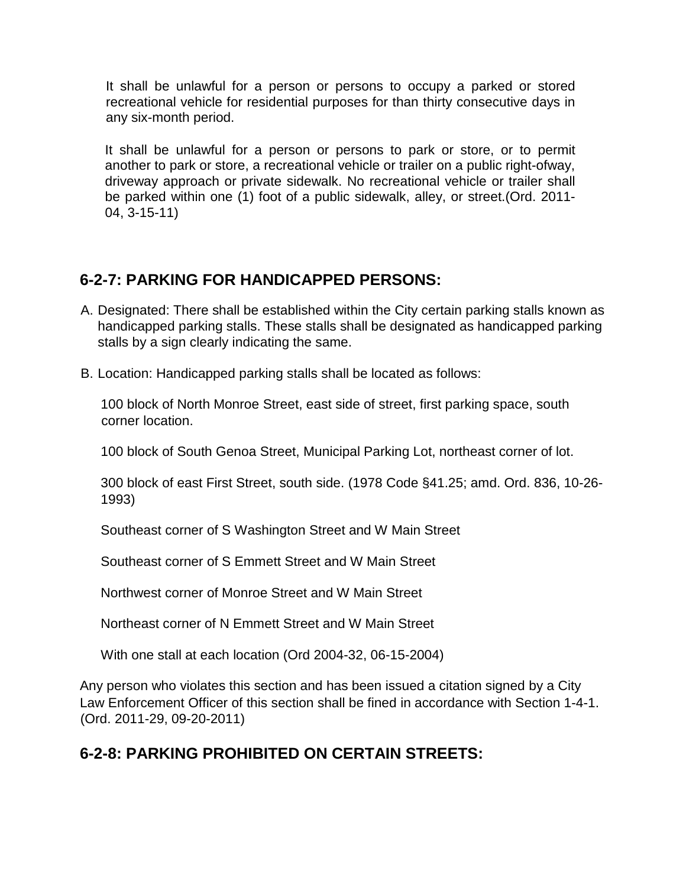It shall be unlawful for a person or persons to occupy a parked or stored recreational vehicle for residential purposes for than thirty consecutive days in any six-month period.

It shall be unlawful for a person or persons to park or store, or to permit another to park or store, a recreational vehicle or trailer on a public right-ofway, driveway approach or private sidewalk. No recreational vehicle or trailer shall be parked within one (1) foot of a public sidewalk, alley, or street.(Ord. 2011- 04, 3-15-11)

#### **6-2-7: PARKING FOR HANDICAPPED PERSONS:**

- A. Designated: There shall be established within the City certain parking stalls known as handicapped parking stalls. These stalls shall be designated as handicapped parking stalls by a sign clearly indicating the same.
- B. Location: Handicapped parking stalls shall be located as follows:

100 block of North Monroe Street, east side of street, first parking space, south corner location.

100 block of South Genoa Street, Municipal Parking Lot, northeast corner of lot.

300 block of east First Street, south side. (1978 Code §41.25; amd. Ord. 836, 10-26- 1993)

Southeast corner of S Washington Street and W Main Street

Southeast corner of S Emmett Street and W Main Street

Northwest corner of Monroe Street and W Main Street

Northeast corner of N Emmett Street and W Main Street

With one stall at each location (Ord 2004-32, 06-15-2004)

Any person who violates this section and has been issued a citation signed by a City Law Enforcement Officer of this section shall be fined in accordance with Section 1-4-1. (Ord. 2011-29, 09-20-2011)

# **6-2-8: PARKING PROHIBITED ON CERTAIN STREETS:**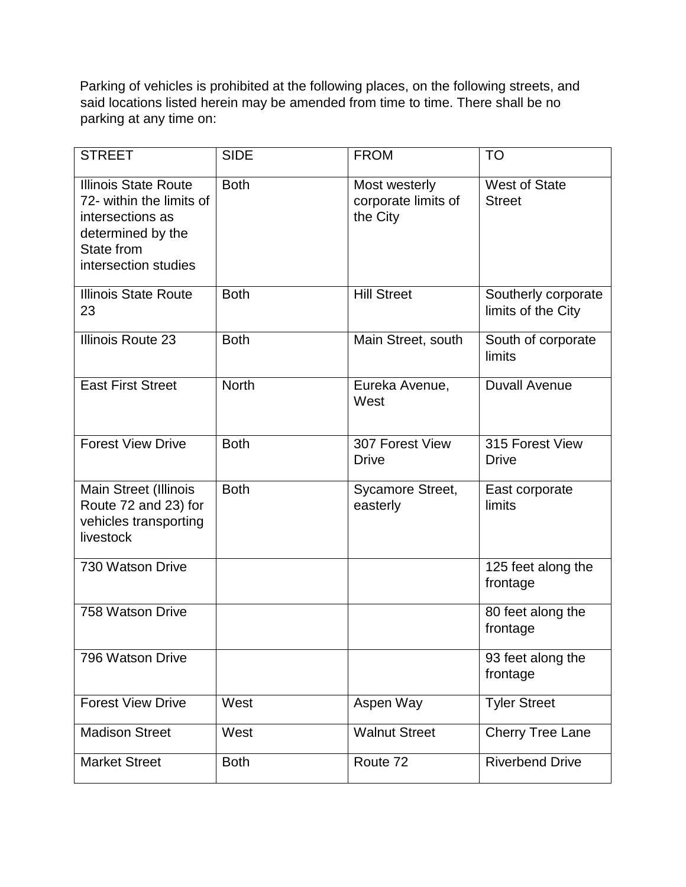Parking of vehicles is prohibited at the following places, on the following streets, and said locations listed herein may be amended from time to time. There shall be no parking at any time on:

| <b>STREET</b>                                                                                                                          | <b>SIDE</b>  | <b>FROM</b>                                      | <b>TO</b>                                 |
|----------------------------------------------------------------------------------------------------------------------------------------|--------------|--------------------------------------------------|-------------------------------------------|
| <b>Illinois State Route</b><br>72- within the limits of<br>intersections as<br>determined by the<br>State from<br>intersection studies | <b>Both</b>  | Most westerly<br>corporate limits of<br>the City | <b>West of State</b><br><b>Street</b>     |
| <b>Illinois State Route</b><br>23                                                                                                      | <b>Both</b>  | <b>Hill Street</b>                               | Southerly corporate<br>limits of the City |
| Illinois Route 23                                                                                                                      | <b>Both</b>  | Main Street, south                               | South of corporate<br>limits              |
| <b>East First Street</b>                                                                                                               | <b>North</b> | Eureka Avenue,<br>West                           | <b>Duvall Avenue</b>                      |
| <b>Forest View Drive</b>                                                                                                               | <b>Both</b>  | 307 Forest View<br><b>Drive</b>                  | 315 Forest View<br><b>Drive</b>           |
| <b>Main Street (Illinois</b><br>Route 72 and 23) for<br>vehicles transporting<br>livestock                                             | <b>Both</b>  | Sycamore Street,<br>easterly                     | East corporate<br>limits                  |
| 730 Watson Drive                                                                                                                       |              |                                                  | 125 feet along the<br>frontage            |
| 758 Watson Drive                                                                                                                       |              |                                                  | 80 feet along the<br>frontage             |
| 796 Watson Drive                                                                                                                       |              |                                                  | 93 feet along the<br>frontage             |
| <b>Forest View Drive</b>                                                                                                               | West         | Aspen Way                                        | <b>Tyler Street</b>                       |
| <b>Madison Street</b>                                                                                                                  | West         | <b>Walnut Street</b>                             | <b>Cherry Tree Lane</b>                   |
| <b>Market Street</b>                                                                                                                   | <b>Both</b>  | Route 72                                         | <b>Riverbend Drive</b>                    |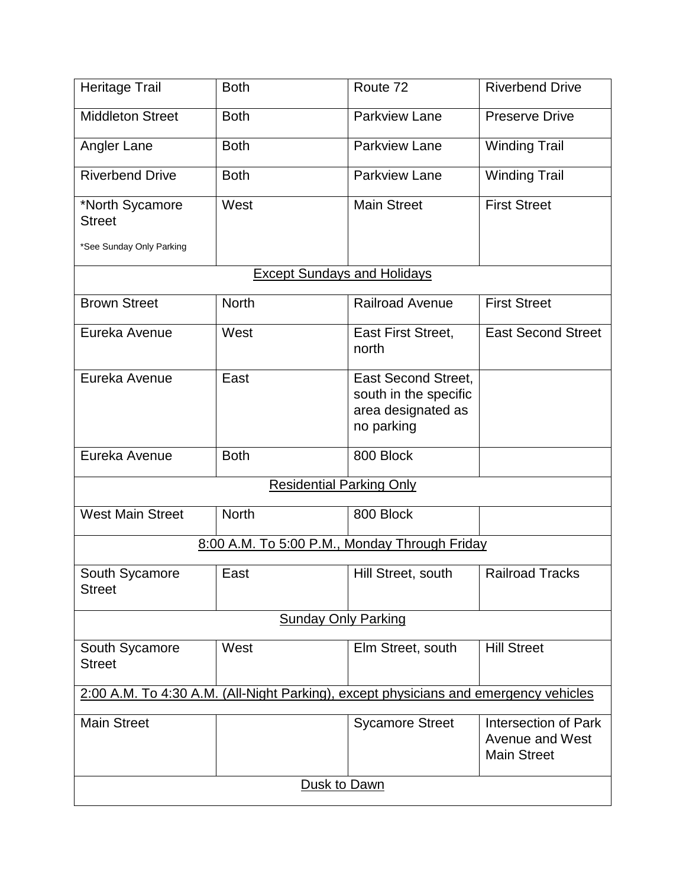| <b>Heritage Trail</b>                                                                | <b>Both</b>                        | Route 72                                                                                | <b>Riverbend Drive</b>                                               |
|--------------------------------------------------------------------------------------|------------------------------------|-----------------------------------------------------------------------------------------|----------------------------------------------------------------------|
| <b>Middleton Street</b>                                                              | <b>Both</b>                        | <b>Parkview Lane</b>                                                                    | <b>Preserve Drive</b>                                                |
| Angler Lane                                                                          | <b>Both</b>                        | <b>Parkview Lane</b>                                                                    | <b>Winding Trail</b>                                                 |
| <b>Riverbend Drive</b>                                                               | <b>Both</b>                        | <b>Parkview Lane</b>                                                                    | <b>Winding Trail</b>                                                 |
| *North Sycamore<br><b>Street</b>                                                     | West                               | <b>Main Street</b>                                                                      | <b>First Street</b>                                                  |
| *See Sunday Only Parking                                                             |                                    |                                                                                         |                                                                      |
|                                                                                      | <b>Except Sundays and Holidays</b> |                                                                                         |                                                                      |
| <b>Brown Street</b>                                                                  | <b>North</b>                       | <b>Railroad Avenue</b>                                                                  | <b>First Street</b>                                                  |
| Eureka Avenue                                                                        | West                               | East First Street,<br>north                                                             | <b>East Second Street</b>                                            |
| Eureka Avenue                                                                        | East                               | <b>East Second Street,</b><br>south in the specific<br>area designated as<br>no parking |                                                                      |
| Eureka Avenue                                                                        | <b>Both</b>                        | 800 Block                                                                               |                                                                      |
| <b>Residential Parking Only</b>                                                      |                                    |                                                                                         |                                                                      |
| <b>West Main Street</b>                                                              | <b>North</b>                       | 800 Block                                                                               |                                                                      |
|                                                                                      |                                    | 8:00 A.M. To 5:00 P.M., Monday Through Friday                                           |                                                                      |
| South Sycamore<br><b>Street</b>                                                      | East                               | Hill Street, south                                                                      | <b>Railroad Tracks</b>                                               |
| <b>Sunday Only Parking</b>                                                           |                                    |                                                                                         |                                                                      |
| South Sycamore<br><b>Street</b>                                                      | West                               | Elm Street, south                                                                       | <b>Hill Street</b>                                                   |
| 2:00 A.M. To 4:30 A.M. (All-Night Parking), except physicians and emergency vehicles |                                    |                                                                                         |                                                                      |
| <b>Main Street</b>                                                                   |                                    | <b>Sycamore Street</b>                                                                  | Intersection of Park<br><b>Avenue and West</b><br><b>Main Street</b> |
| Dusk to Dawn                                                                         |                                    |                                                                                         |                                                                      |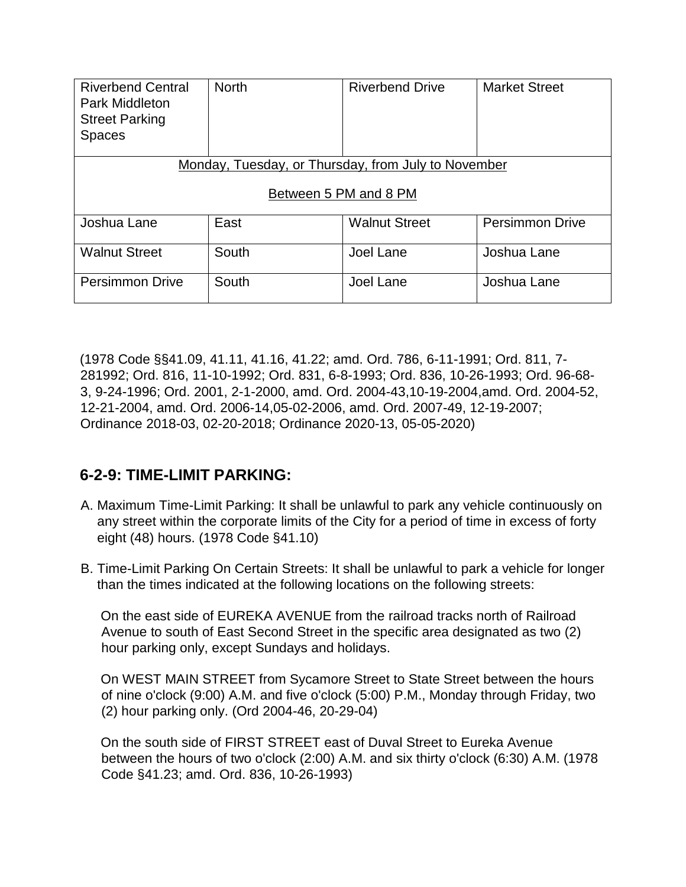| <b>Riverbend Central</b><br><b>Park Middleton</b><br><b>Street Parking</b><br><b>Spaces</b> | <b>North</b> | <b>Riverbend Drive</b> | <b>Market Street</b>   |
|---------------------------------------------------------------------------------------------|--------------|------------------------|------------------------|
| Monday, Tuesday, or Thursday, from July to November                                         |              |                        |                        |
| Between 5 PM and 8 PM                                                                       |              |                        |                        |
| Joshua Lane                                                                                 | East         | <b>Walnut Street</b>   | <b>Persimmon Drive</b> |
| <b>Walnut Street</b>                                                                        | South        | Joel Lane              | Joshua Lane            |
| <b>Persimmon Drive</b>                                                                      | South        | Joel Lane              | Joshua Lane            |

(1978 Code §§41.09, 41.11, 41.16, 41.22; amd. Ord. 786, 6-11-1991; Ord. 811, 7- 281992; Ord. 816, 11-10-1992; Ord. 831, 6-8-1993; Ord. 836, 10-26-1993; Ord. 96-68- 3, 9-24-1996; Ord. 2001, 2-1-2000, amd. Ord. 2004-43,10-19-2004,amd. Ord. 2004-52, 12-21-2004, amd. Ord. 2006-14,05-02-2006, amd. Ord. 2007-49, 12-19-2007; Ordinance 2018-03, 02-20-2018; Ordinance 2020-13, 05-05-2020)

#### **6-2-9: TIME-LIMIT PARKING:**

- A. Maximum Time-Limit Parking: It shall be unlawful to park any vehicle continuously on any street within the corporate limits of the City for a period of time in excess of forty eight (48) hours. (1978 Code §41.10)
- B. Time-Limit Parking On Certain Streets: It shall be unlawful to park a vehicle for longer than the times indicated at the following locations on the following streets:

On the east side of EUREKA AVENUE from the railroad tracks north of Railroad Avenue to south of East Second Street in the specific area designated as two (2) hour parking only, except Sundays and holidays.

On WEST MAIN STREET from Sycamore Street to State Street between the hours of nine o'clock (9:00) A.M. and five o'clock (5:00) P.M., Monday through Friday, two (2) hour parking only. (Ord 2004-46, 20-29-04)

On the south side of FIRST STREET east of Duval Street to Eureka Avenue between the hours of two o'clock (2:00) A.M. and six thirty o'clock (6:30) A.M. (1978 Code §41.23; amd. Ord. 836, 10-26-1993)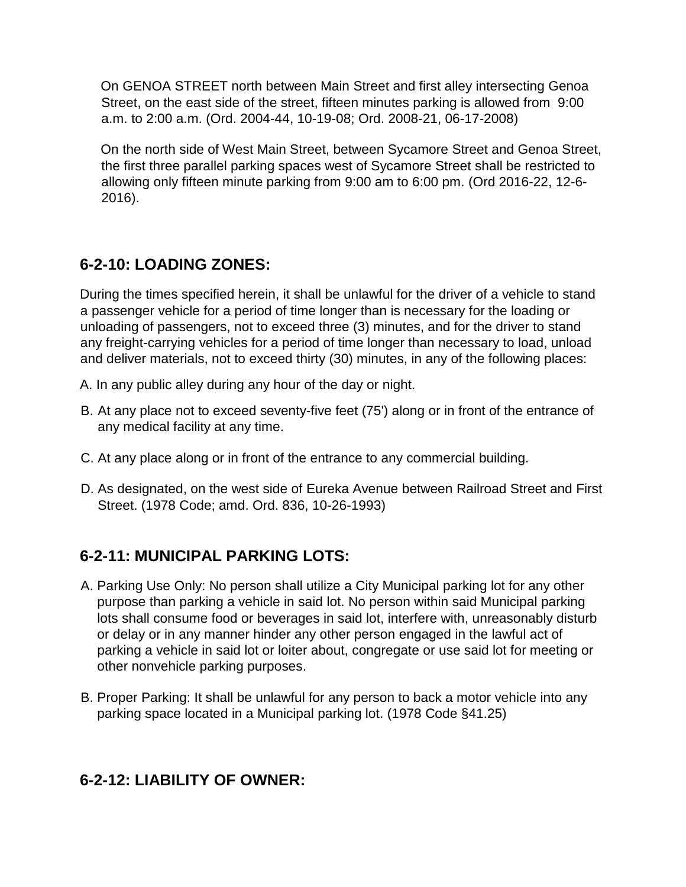On GENOA STREET north between Main Street and first alley intersecting Genoa Street, on the east side of the street, fifteen minutes parking is allowed from 9:00 a.m. to 2:00 a.m. (Ord. 2004-44, 10-19-08; Ord. 2008-21, 06-17-2008)

On the north side of West Main Street, between Sycamore Street and Genoa Street, the first three parallel parking spaces west of Sycamore Street shall be restricted to allowing only fifteen minute parking from 9:00 am to 6:00 pm. (Ord 2016-22, 12-6- 2016).

## **6-2-10: LOADING ZONES:**

During the times specified herein, it shall be unlawful for the driver of a vehicle to stand a passenger vehicle for a period of time longer than is necessary for the loading or unloading of passengers, not to exceed three (3) minutes, and for the driver to stand any freight-carrying vehicles for a period of time longer than necessary to load, unload and deliver materials, not to exceed thirty (30) minutes, in any of the following places:

- A. In any public alley during any hour of the day or night.
- B. At any place not to exceed seventy-five feet (75') along or in front of the entrance of any medical facility at any time.
- C. At any place along or in front of the entrance to any commercial building.
- D. As designated, on the west side of Eureka Avenue between Railroad Street and First Street. (1978 Code; amd. Ord. 836, 10-26-1993)

#### **6-2-11: MUNICIPAL PARKING LOTS:**

- A. Parking Use Only: No person shall utilize a City Municipal parking lot for any other purpose than parking a vehicle in said lot. No person within said Municipal parking lots shall consume food or beverages in said lot, interfere with, unreasonably disturb or delay or in any manner hinder any other person engaged in the lawful act of parking a vehicle in said lot or loiter about, congregate or use said lot for meeting or other nonvehicle parking purposes.
- B. Proper Parking: It shall be unlawful for any person to back a motor vehicle into any parking space located in a Municipal parking lot. (1978 Code §41.25)

#### **6-2-12: LIABILITY OF OWNER:**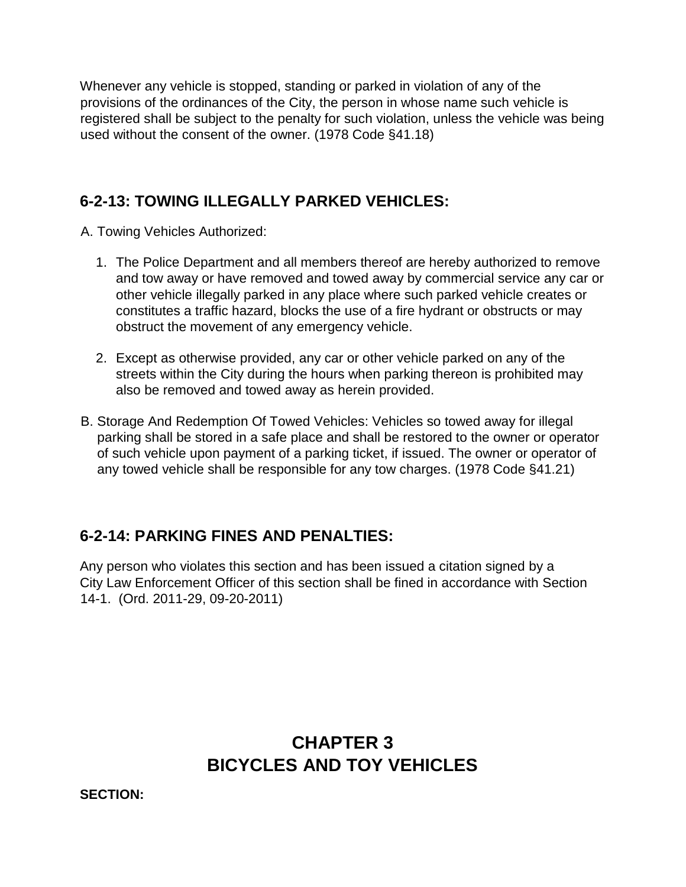Whenever any vehicle is stopped, standing or parked in violation of any of the provisions of the ordinances of the City, the person in whose name such vehicle is registered shall be subject to the penalty for such violation, unless the vehicle was being used without the consent of the owner. (1978 Code §41.18)

#### **6-2-13: TOWING ILLEGALLY PARKED VEHICLES:**

A. Towing Vehicles Authorized:

- 1. The Police Department and all members thereof are hereby authorized to remove and tow away or have removed and towed away by commercial service any car or other vehicle illegally parked in any place where such parked vehicle creates or constitutes a traffic hazard, blocks the use of a fire hydrant or obstructs or may obstruct the movement of any emergency vehicle.
- 2. Except as otherwise provided, any car or other vehicle parked on any of the streets within the City during the hours when parking thereon is prohibited may also be removed and towed away as herein provided.
- B. Storage And Redemption Of Towed Vehicles: Vehicles so towed away for illegal parking shall be stored in a safe place and shall be restored to the owner or operator of such vehicle upon payment of a parking ticket, if issued. The owner or operator of any towed vehicle shall be responsible for any tow charges. (1978 Code §41.21)

#### **6-2-14: PARKING FINES AND PENALTIES:**

Any person who violates this section and has been issued a citation signed by a City Law Enforcement Officer of this section shall be fined in accordance with Section 14-1. (Ord. 2011-29, 09-20-2011)

# **CHAPTER 3 BICYCLES AND TOY VEHICLES**

**SECTION:**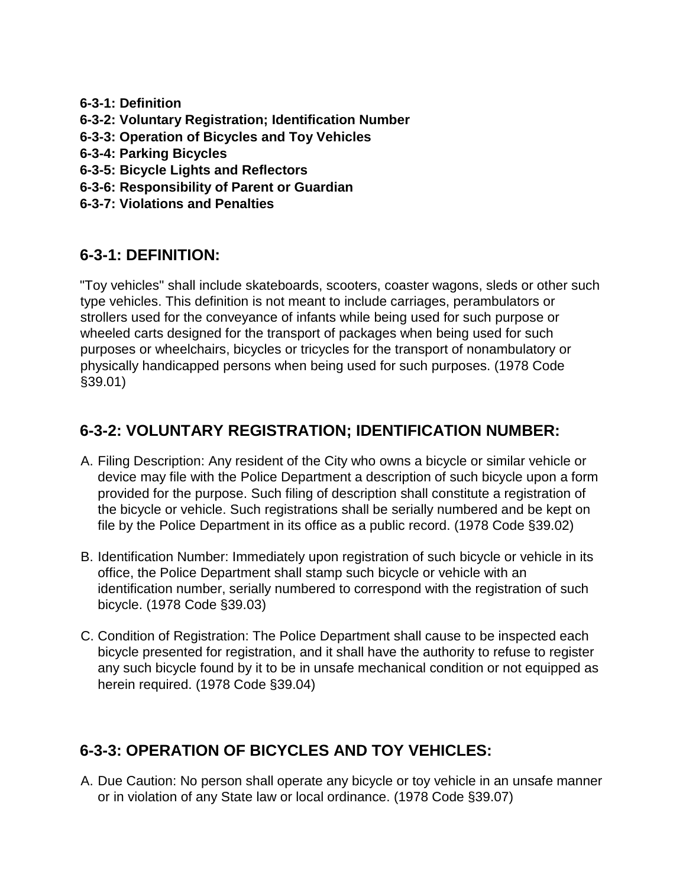- **6-3-1: Definition**
- **6-3-2: Voluntary Registration; Identification Number**
- **6-3-3: Operation of Bicycles and Toy Vehicles**
- **6-3-4: Parking Bicycles**
- **6-3-5: Bicycle Lights and Reflectors**
- **6-3-6: Responsibility of Parent or Guardian**
- **6-3-7: Violations and Penalties**

## **6-3-1: DEFINITION:**

"Toy vehicles" shall include skateboards, scooters, coaster wagons, sleds or other such type vehicles. This definition is not meant to include carriages, perambulators or strollers used for the conveyance of infants while being used for such purpose or wheeled carts designed for the transport of packages when being used for such purposes or wheelchairs, bicycles or tricycles for the transport of nonambulatory or physically handicapped persons when being used for such purposes. (1978 Code §39.01)

# **6-3-2: VOLUNTARY REGISTRATION; IDENTIFICATION NUMBER:**

- A. Filing Description: Any resident of the City who owns a bicycle or similar vehicle or device may file with the Police Department a description of such bicycle upon a form provided for the purpose. Such filing of description shall constitute a registration of the bicycle or vehicle. Such registrations shall be serially numbered and be kept on file by the Police Department in its office as a public record. (1978 Code §39.02)
- B. Identification Number: Immediately upon registration of such bicycle or vehicle in its office, the Police Department shall stamp such bicycle or vehicle with an identification number, serially numbered to correspond with the registration of such bicycle. (1978 Code §39.03)
- C. Condition of Registration: The Police Department shall cause to be inspected each bicycle presented for registration, and it shall have the authority to refuse to register any such bicycle found by it to be in unsafe mechanical condition or not equipped as herein required. (1978 Code §39.04)

# **6-3-3: OPERATION OF BICYCLES AND TOY VEHICLES:**

A. Due Caution: No person shall operate any bicycle or toy vehicle in an unsafe manner or in violation of any State law or local ordinance. (1978 Code §39.07)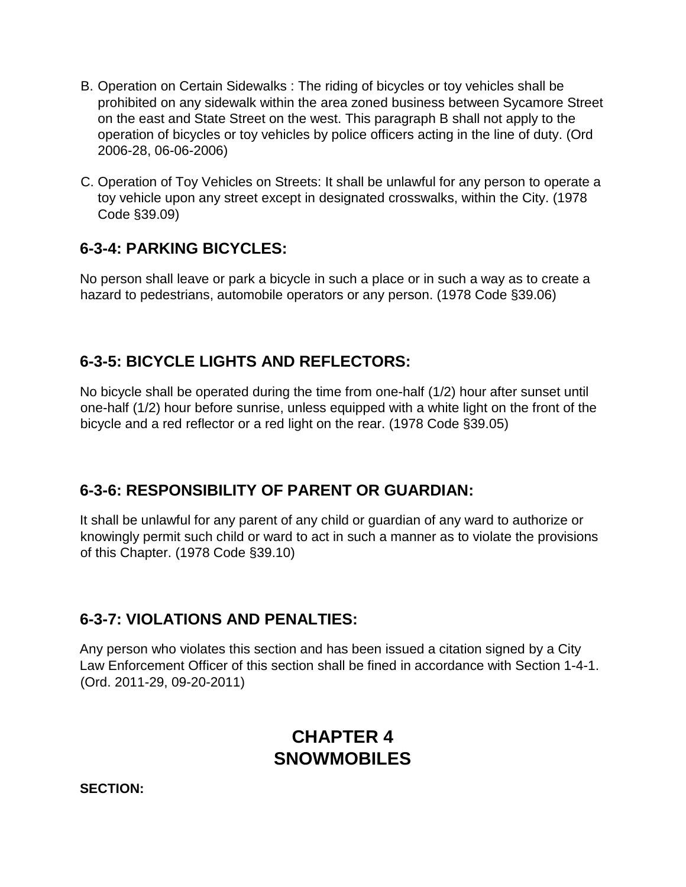- B. Operation on Certain Sidewalks : The riding of bicycles or toy vehicles shall be prohibited on any sidewalk within the area zoned business between Sycamore Street on the east and State Street on the west. This paragraph B shall not apply to the operation of bicycles or toy vehicles by police officers acting in the line of duty. (Ord 2006-28, 06-06-2006)
- C. Operation of Toy Vehicles on Streets: It shall be unlawful for any person to operate a toy vehicle upon any street except in designated crosswalks, within the City. (1978 Code §39.09)

#### **6-3-4: PARKING BICYCLES:**

No person shall leave or park a bicycle in such a place or in such a way as to create a hazard to pedestrians, automobile operators or any person. (1978 Code §39.06)

#### **6-3-5: BICYCLE LIGHTS AND REFLECTORS:**

No bicycle shall be operated during the time from one-half (1/2) hour after sunset until one-half (1/2) hour before sunrise, unless equipped with a white light on the front of the bicycle and a red reflector or a red light on the rear. (1978 Code §39.05)

#### **6-3-6: RESPONSIBILITY OF PARENT OR GUARDIAN:**

It shall be unlawful for any parent of any child or guardian of any ward to authorize or knowingly permit such child or ward to act in such a manner as to violate the provisions of this Chapter. (1978 Code §39.10)

#### **6-3-7: VIOLATIONS AND PENALTIES:**

Any person who violates this section and has been issued a citation signed by a City Law Enforcement Officer of this section shall be fined in accordance with Section 1-4-1. (Ord. 2011-29, 09-20-2011)

# **CHAPTER 4 SNOWMOBILES**

**SECTION:**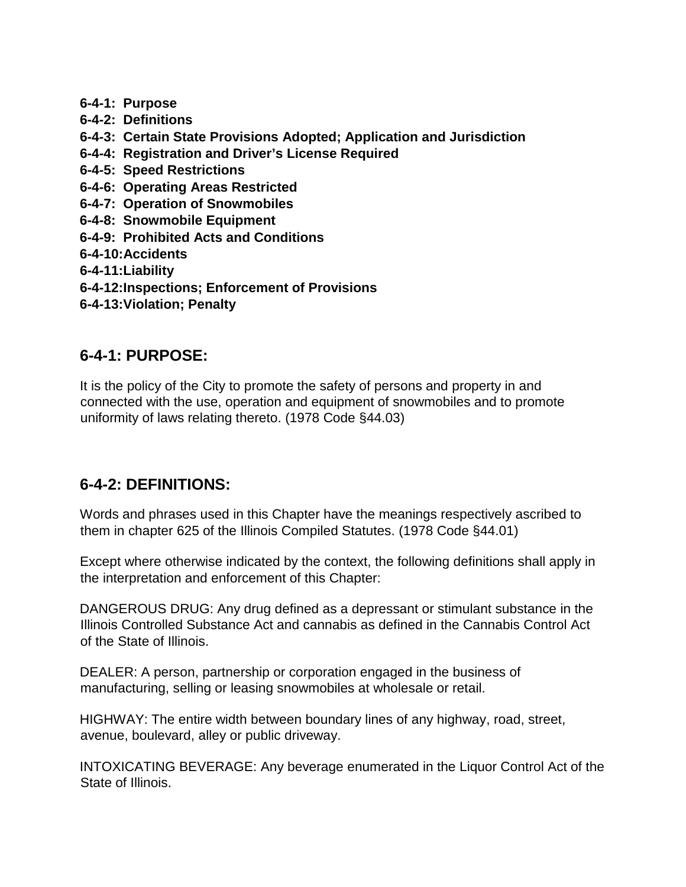- **6-4-1: Purpose**
- **6-4-2: Definitions**
- **6-4-3: Certain State Provisions Adopted; Application and Jurisdiction**
- **6-4-4: Registration and Driver's License Required**
- **6-4-5: Speed Restrictions**
- **6-4-6: Operating Areas Restricted**
- **6-4-7: Operation of Snowmobiles**
- **6-4-8: Snowmobile Equipment**
- **6-4-9: Prohibited Acts and Conditions**
- **6-4-10:Accidents**
- **6-4-11:Liability**
- **6-4-12:Inspections; Enforcement of Provisions**
- **6-4-13:Violation; Penalty**

#### **6-4-1: PURPOSE:**

It is the policy of the City to promote the safety of persons and property in and connected with the use, operation and equipment of snowmobiles and to promote uniformity of laws relating thereto. (1978 Code §44.03)

#### **6-4-2: DEFINITIONS:**

Words and phrases used in this Chapter have the meanings respectively ascribed to them in chapter 625 of the Illinois Compiled Statutes. (1978 Code §44.01)

Except where otherwise indicated by the context, the following definitions shall apply in the interpretation and enforcement of this Chapter:

DANGEROUS DRUG: Any drug defined as a depressant or stimulant substance in the Illinois Controlled Substance Act and cannabis as defined in the Cannabis Control Act of the State of Illinois.

DEALER: A person, partnership or corporation engaged in the business of manufacturing, selling or leasing snowmobiles at wholesale or retail.

HIGHWAY: The entire width between boundary lines of any highway, road, street, avenue, boulevard, alley or public driveway.

INTOXICATING BEVERAGE: Any beverage enumerated in the Liquor Control Act of the State of Illinois.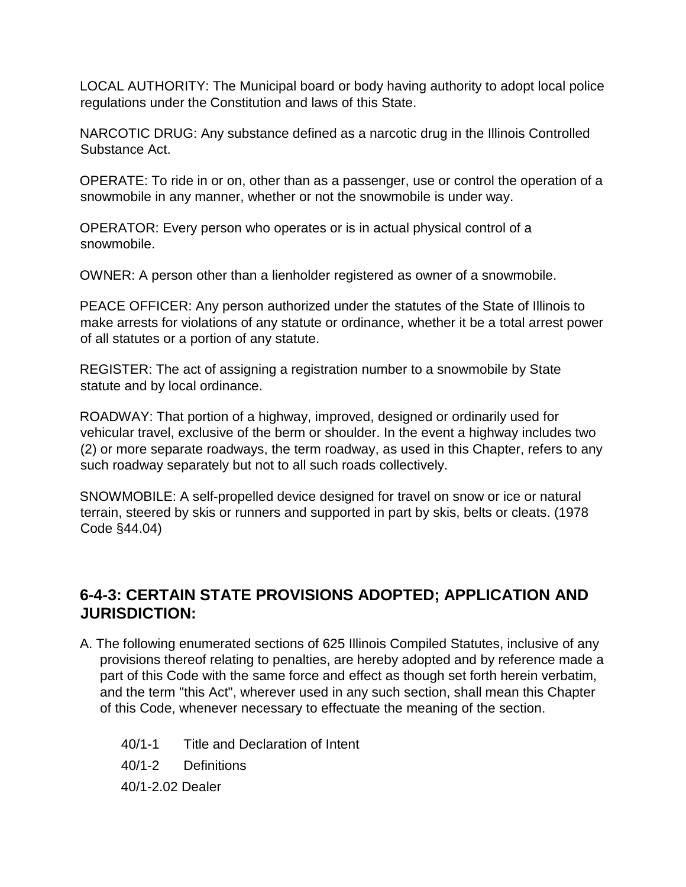LOCAL AUTHORITY: The Municipal board or body having authority to adopt local police regulations under the Constitution and laws of this State.

NARCOTIC DRUG: Any substance defined as a narcotic drug in the Illinois Controlled Substance Act.

OPERATE: To ride in or on, other than as a passenger, use or control the operation of a snowmobile in any manner, whether or not the snowmobile is under way.

OPERATOR: Every person who operates or is in actual physical control of a snowmobile.

OWNER: A person other than a lienholder registered as owner of a snowmobile.

PEACE OFFICER: Any person authorized under the statutes of the State of Illinois to make arrests for violations of any statute or ordinance, whether it be a total arrest power of all statutes or a portion of any statute.

REGISTER: The act of assigning a registration number to a snowmobile by State statute and by local ordinance.

ROADWAY: That portion of a highway, improved, designed or ordinarily used for vehicular travel, exclusive of the berm or shoulder. In the event a highway includes two (2) or more separate roadways, the term roadway, as used in this Chapter, refers to any such roadway separately but not to all such roads collectively.

SNOWMOBILE: A self-propelled device designed for travel on snow or ice or natural terrain, steered by skis or runners and supported in part by skis, belts or cleats. (1978 Code §44.04)

#### **6-4-3: CERTAIN STATE PROVISIONS ADOPTED; APPLICATION AND JURISDICTION:**

- A. The following enumerated sections of 625 Illinois Compiled Statutes, inclusive of any provisions thereof relating to penalties, are hereby adopted and by reference made a part of this Code with the same force and effect as though set forth herein verbatim, and the term "this Act", wherever used in any such section, shall mean this Chapter of this Code, whenever necessary to effectuate the meaning of the section.
	- 40/1-1 Title and Declaration of Intent
	- 40/1-2 Definitions

40/1-2.02 Dealer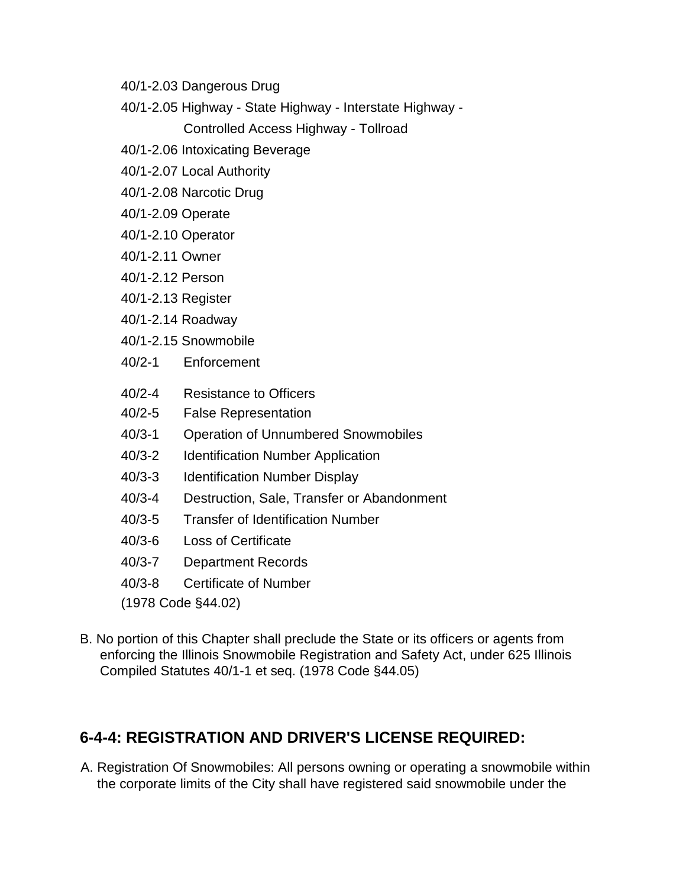- 40/1-2.03 Dangerous Drug
- 40/1-2.05 Highway State Highway Interstate Highway -

Controlled Access Highway - Tollroad

- 40/1-2.06 Intoxicating Beverage
- 40/1-2.07 Local Authority
- 40/1-2.08 Narcotic Drug
- 40/1-2.09 Operate
- 40/1-2.10 Operator
- 40/1-2.11 Owner
- 40/1-2.12 Person
- 40/1-2.13 Register
- 40/1-2.14 Roadway
- 40/1-2.15 Snowmobile
- 40/2-1 Enforcement
- 40/2-4 Resistance to Officers
- 40/2-5 False Representation
- 40/3-1 Operation of Unnumbered Snowmobiles
- 40/3-2 Identification Number Application
- 40/3-3 Identification Number Display
- 40/3-4 Destruction, Sale, Transfer or Abandonment
- 40/3-5 Transfer of Identification Number
- 40/3-6 Loss of Certificate
- 40/3-7 Department Records
- 40/3-8 Certificate of Number
- (1978 Code §44.02)
- B. No portion of this Chapter shall preclude the State or its officers or agents from enforcing the Illinois Snowmobile Registration and Safety Act, under 625 Illinois Compiled Statutes 40/1-1 et seq. (1978 Code §44.05)

#### **6-4-4: REGISTRATION AND DRIVER'S LICENSE REQUIRED:**

A. Registration Of Snowmobiles: All persons owning or operating a snowmobile within the corporate limits of the City shall have registered said snowmobile under the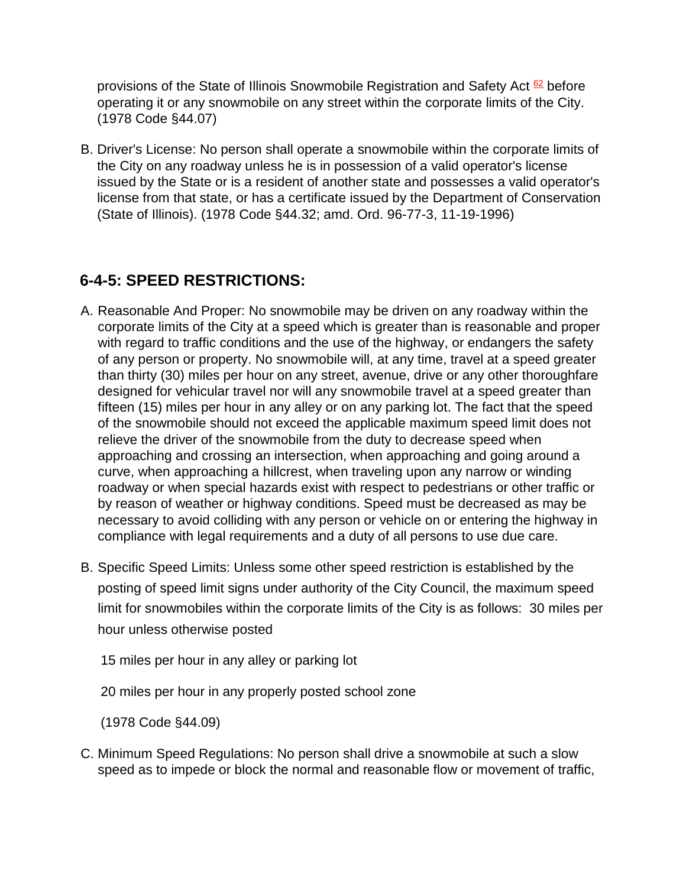provisions of the State of Illinois Snowmobile Registration and Safety Act  $62$  before operating it or any snowmobile on any street within the corporate limits of the City. (1978 Code §44.07)

B. Driver's License: No person shall operate a snowmobile within the corporate limits of the City on any roadway unless he is in possession of a valid operator's license issued by the State or is a resident of another state and possesses a valid operator's license from that state, or has a certificate issued by the Department of Conservation (State of Illinois). (1978 Code §44.32; amd. Ord. 96-77-3, 11-19-1996)

# **6-4-5: SPEED RESTRICTIONS:**

- A. Reasonable And Proper: No snowmobile may be driven on any roadway within the corporate limits of the City at a speed which is greater than is reasonable and proper with regard to traffic conditions and the use of the highway, or endangers the safety of any person or property. No snowmobile will, at any time, travel at a speed greater than thirty (30) miles per hour on any street, avenue, drive or any other thoroughfare designed for vehicular travel nor will any snowmobile travel at a speed greater than fifteen (15) miles per hour in any alley or on any parking lot. The fact that the speed of the snowmobile should not exceed the applicable maximum speed limit does not relieve the driver of the snowmobile from the duty to decrease speed when approaching and crossing an intersection, when approaching and going around a curve, when approaching a hillcrest, when traveling upon any narrow or winding roadway or when special hazards exist with respect to pedestrians or other traffic or by reason of weather or highway conditions. Speed must be decreased as may be necessary to avoid colliding with any person or vehicle on or entering the highway in compliance with legal requirements and a duty of all persons to use due care.
- B. Specific Speed Limits: Unless some other speed restriction is established by the posting of speed limit signs under authority of the City Council, the maximum speed limit for snowmobiles within the corporate limits of the City is as follows: 30 miles per hour unless otherwise posted

15 miles per hour in any alley or parking lot

20 miles per hour in any properly posted school zone

(1978 Code §44.09)

C. Minimum Speed Regulations: No person shall drive a snowmobile at such a slow speed as to impede or block the normal and reasonable flow or movement of traffic,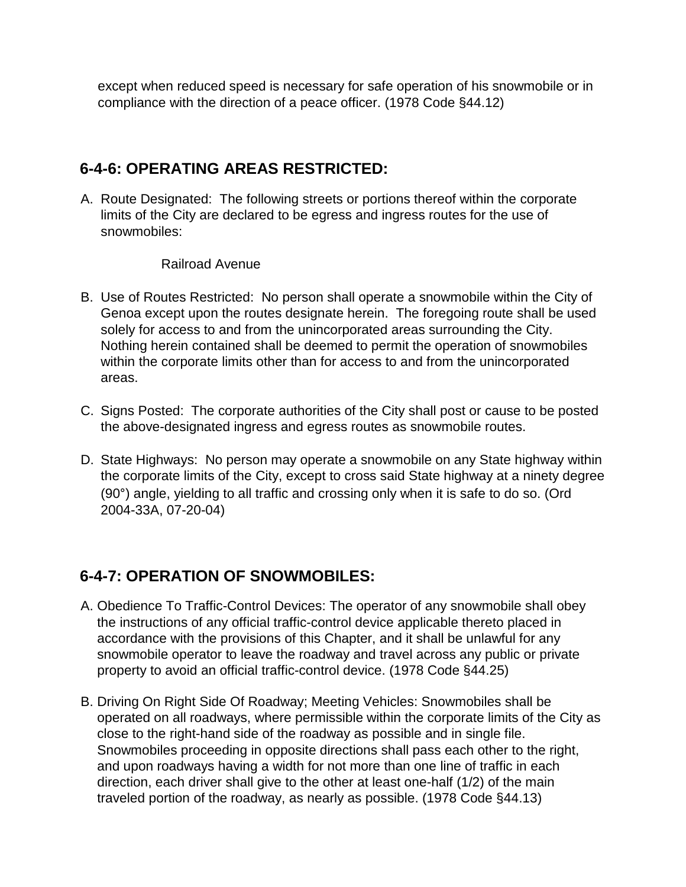except when reduced speed is necessary for safe operation of his snowmobile or in compliance with the direction of a peace officer. (1978 Code §44.12)

#### **6-4-6: OPERATING AREAS RESTRICTED:**

A. Route Designated: The following streets or portions thereof within the corporate limits of the City are declared to be egress and ingress routes for the use of snowmobiles:

#### Railroad Avenue

- B. Use of Routes Restricted: No person shall operate a snowmobile within the City of Genoa except upon the routes designate herein. The foregoing route shall be used solely for access to and from the unincorporated areas surrounding the City. Nothing herein contained shall be deemed to permit the operation of snowmobiles within the corporate limits other than for access to and from the unincorporated areas.
- C. Signs Posted: The corporate authorities of the City shall post or cause to be posted the above-designated ingress and egress routes as snowmobile routes.
- D. State Highways: No person may operate a snowmobile on any State highway within the corporate limits of the City, except to cross said State highway at a ninety degree (90°) angle, yielding to all traffic and crossing only when it is safe to do so. (Ord 2004-33A, 07-20-04)

#### **6-4-7: OPERATION OF SNOWMOBILES:**

- A. Obedience To Traffic-Control Devices: The operator of any snowmobile shall obey the instructions of any official traffic-control device applicable thereto placed in accordance with the provisions of this Chapter, and it shall be unlawful for any snowmobile operator to leave the roadway and travel across any public or private property to avoid an official traffic-control device. (1978 Code §44.25)
- B. Driving On Right Side Of Roadway; Meeting Vehicles: Snowmobiles shall be operated on all roadways, where permissible within the corporate limits of the City as close to the right-hand side of the roadway as possible and in single file. Snowmobiles proceeding in opposite directions shall pass each other to the right, and upon roadways having a width for not more than one line of traffic in each direction, each driver shall give to the other at least one-half (1/2) of the main traveled portion of the roadway, as nearly as possible. (1978 Code §44.13)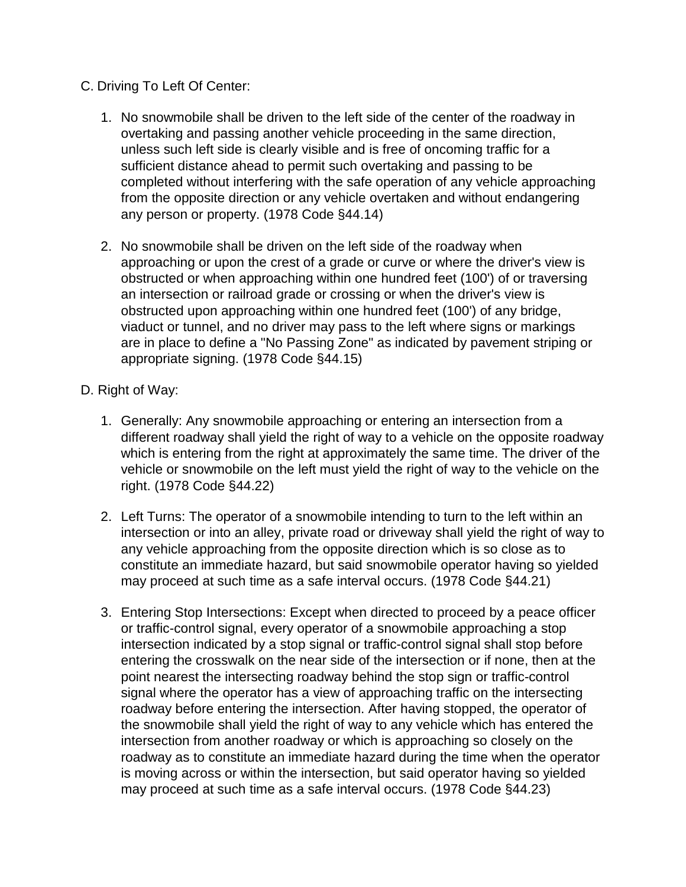- C. Driving To Left Of Center:
	- 1. No snowmobile shall be driven to the left side of the center of the roadway in overtaking and passing another vehicle proceeding in the same direction, unless such left side is clearly visible and is free of oncoming traffic for a sufficient distance ahead to permit such overtaking and passing to be completed without interfering with the safe operation of any vehicle approaching from the opposite direction or any vehicle overtaken and without endangering any person or property. (1978 Code §44.14)
	- 2. No snowmobile shall be driven on the left side of the roadway when approaching or upon the crest of a grade or curve or where the driver's view is obstructed or when approaching within one hundred feet (100') of or traversing an intersection or railroad grade or crossing or when the driver's view is obstructed upon approaching within one hundred feet (100') of any bridge, viaduct or tunnel, and no driver may pass to the left where signs or markings are in place to define a "No Passing Zone" as indicated by pavement striping or appropriate signing. (1978 Code §44.15)
- D. Right of Way:
	- 1. Generally: Any snowmobile approaching or entering an intersection from a different roadway shall yield the right of way to a vehicle on the opposite roadway which is entering from the right at approximately the same time. The driver of the vehicle or snowmobile on the left must yield the right of way to the vehicle on the right. (1978 Code §44.22)
	- 2. Left Turns: The operator of a snowmobile intending to turn to the left within an intersection or into an alley, private road or driveway shall yield the right of way to any vehicle approaching from the opposite direction which is so close as to constitute an immediate hazard, but said snowmobile operator having so yielded may proceed at such time as a safe interval occurs. (1978 Code §44.21)
	- 3. Entering Stop Intersections: Except when directed to proceed by a peace officer or traffic-control signal, every operator of a snowmobile approaching a stop intersection indicated by a stop signal or traffic-control signal shall stop before entering the crosswalk on the near side of the intersection or if none, then at the point nearest the intersecting roadway behind the stop sign or traffic-control signal where the operator has a view of approaching traffic on the intersecting roadway before entering the intersection. After having stopped, the operator of the snowmobile shall yield the right of way to any vehicle which has entered the intersection from another roadway or which is approaching so closely on the roadway as to constitute an immediate hazard during the time when the operator is moving across or within the intersection, but said operator having so yielded may proceed at such time as a safe interval occurs. (1978 Code §44.23)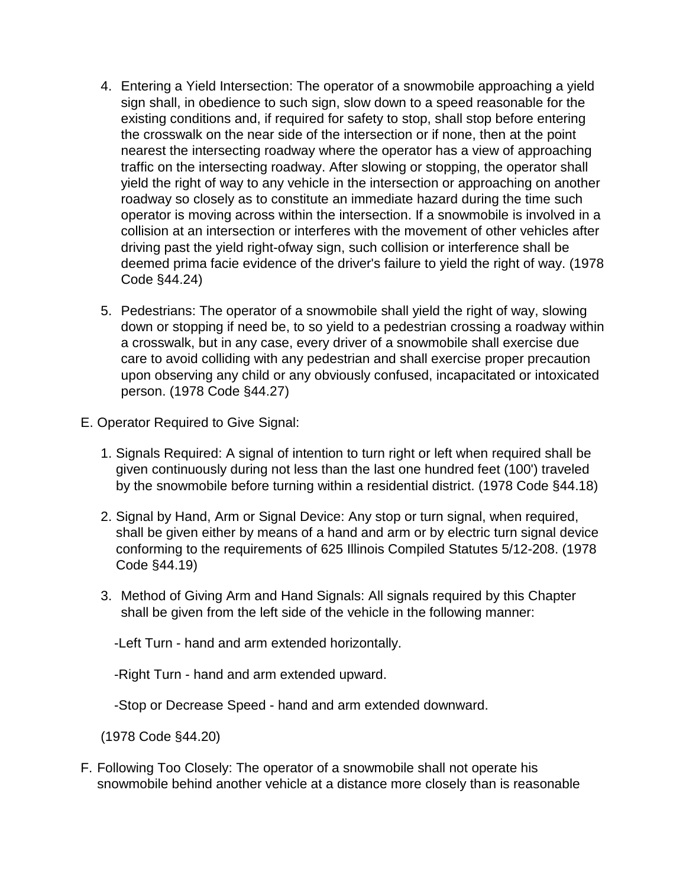- 4. Entering a Yield Intersection: The operator of a snowmobile approaching a yield sign shall, in obedience to such sign, slow down to a speed reasonable for the existing conditions and, if required for safety to stop, shall stop before entering the crosswalk on the near side of the intersection or if none, then at the point nearest the intersecting roadway where the operator has a view of approaching traffic on the intersecting roadway. After slowing or stopping, the operator shall yield the right of way to any vehicle in the intersection or approaching on another roadway so closely as to constitute an immediate hazard during the time such operator is moving across within the intersection. If a snowmobile is involved in a collision at an intersection or interferes with the movement of other vehicles after driving past the yield right-ofway sign, such collision or interference shall be deemed prima facie evidence of the driver's failure to yield the right of way. (1978 Code §44.24)
- 5. Pedestrians: The operator of a snowmobile shall yield the right of way, slowing down or stopping if need be, to so yield to a pedestrian crossing a roadway within a crosswalk, but in any case, every driver of a snowmobile shall exercise due care to avoid colliding with any pedestrian and shall exercise proper precaution upon observing any child or any obviously confused, incapacitated or intoxicated person. (1978 Code §44.27)
- E. Operator Required to Give Signal:
	- 1. Signals Required: A signal of intention to turn right or left when required shall be given continuously during not less than the last one hundred feet (100') traveled by the snowmobile before turning within a residential district. (1978 Code §44.18)
	- 2. Signal by Hand, Arm or Signal Device: Any stop or turn signal, when required, shall be given either by means of a hand and arm or by electric turn signal device conforming to the requirements of 625 Illinois Compiled Statutes 5/12-208. (1978 Code §44.19)
	- 3. Method of Giving Arm and Hand Signals: All signals required by this Chapter shall be given from the left side of the vehicle in the following manner:

-Left Turn - hand and arm extended horizontally.

-Right Turn - hand and arm extended upward.

-Stop or Decrease Speed - hand and arm extended downward.

(1978 Code §44.20)

F. Following Too Closely: The operator of a snowmobile shall not operate his snowmobile behind another vehicle at a distance more closely than is reasonable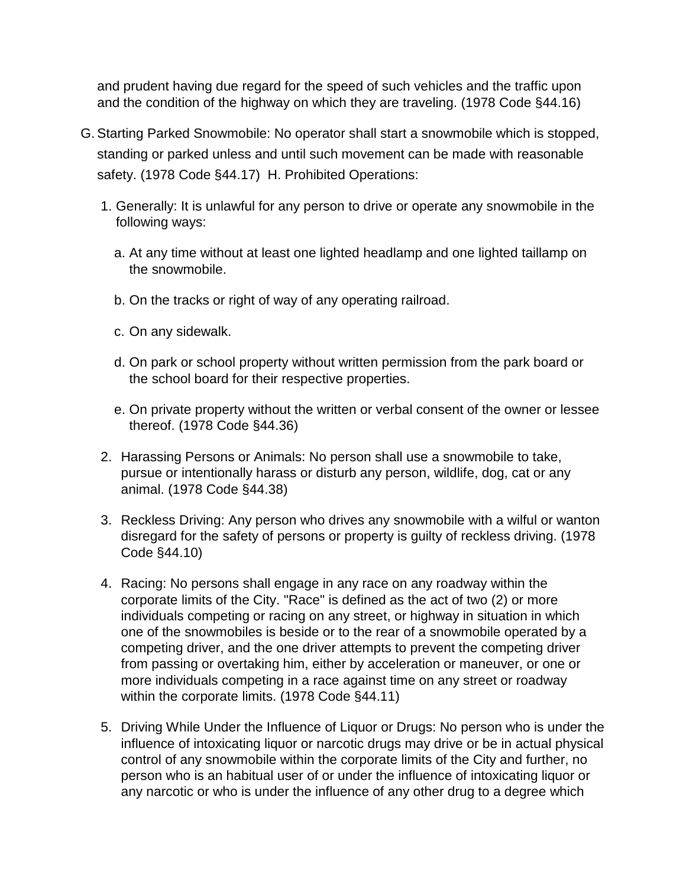and prudent having due regard for the speed of such vehicles and the traffic upon and the condition of the highway on which they are traveling. (1978 Code §44.16)

- G. Starting Parked Snowmobile: No operator shall start a snowmobile which is stopped, standing or parked unless and until such movement can be made with reasonable safety. (1978 Code §44.17) H. Prohibited Operations:
	- 1. Generally: It is unlawful for any person to drive or operate any snowmobile in the following ways:
		- a. At any time without at least one lighted headlamp and one lighted taillamp on the snowmobile.
		- b. On the tracks or right of way of any operating railroad.
		- c. On any sidewalk.
		- d. On park or school property without written permission from the park board or the school board for their respective properties.
		- e. On private property without the written or verbal consent of the owner or lessee thereof. (1978 Code §44.36)
	- 2. Harassing Persons or Animals: No person shall use a snowmobile to take, pursue or intentionally harass or disturb any person, wildlife, dog, cat or any animal. (1978 Code §44.38)
	- 3. Reckless Driving: Any person who drives any snowmobile with a wilful or wanton disregard for the safety of persons or property is guilty of reckless driving. (1978 Code §44.10)
	- 4. Racing: No persons shall engage in any race on any roadway within the corporate limits of the City. "Race" is defined as the act of two (2) or more individuals competing or racing on any street, or highway in situation in which one of the snowmobiles is beside or to the rear of a snowmobile operated by a competing driver, and the one driver attempts to prevent the competing driver from passing or overtaking him, either by acceleration or maneuver, or one or more individuals competing in a race against time on any street or roadway within the corporate limits. (1978 Code §44.11)
	- 5. Driving While Under the Influence of Liquor or Drugs: No person who is under the influence of intoxicating liquor or narcotic drugs may drive or be in actual physical control of any snowmobile within the corporate limits of the City and further, no person who is an habitual user of or under the influence of intoxicating liquor or any narcotic or who is under the influence of any other drug to a degree which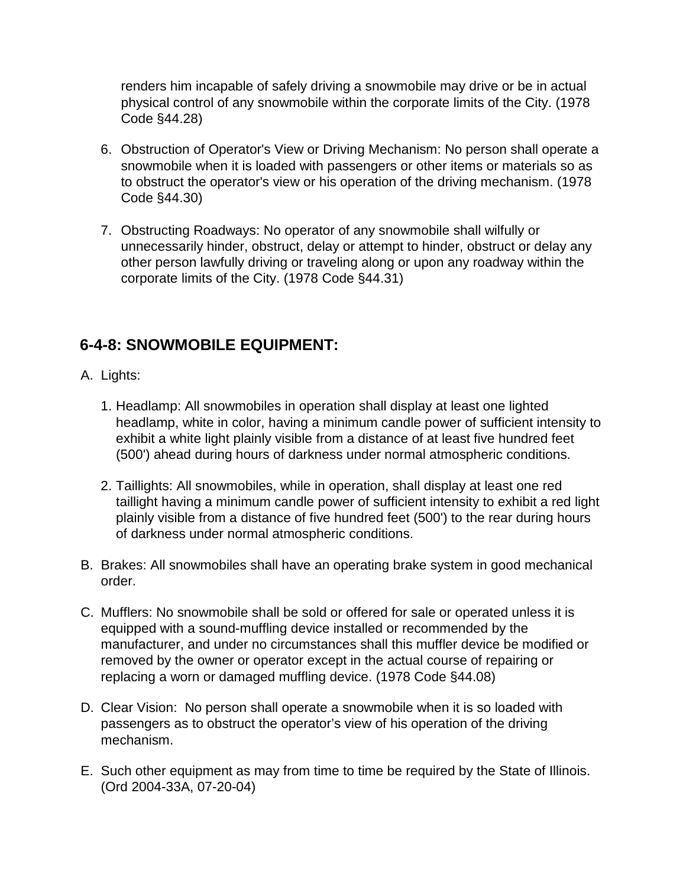renders him incapable of safely driving a snowmobile may drive or be in actual physical control of any snowmobile within the corporate limits of the City. (1978 Code §44.28)

- 6. Obstruction of Operator's View or Driving Mechanism: No person shall operate a snowmobile when it is loaded with passengers or other items or materials so as to obstruct the operator's view or his operation of the driving mechanism. (1978 Code §44.30)
- 7. Obstructing Roadways: No operator of any snowmobile shall wilfully or unnecessarily hinder, obstruct, delay or attempt to hinder, obstruct or delay any other person lawfully driving or traveling along or upon any roadway within the corporate limits of the City. (1978 Code §44.31)

#### **6-4-8: SNOWMOBILE EQUIPMENT:**

- A. Lights:
	- 1. Headlamp: All snowmobiles in operation shall display at least one lighted headlamp, white in color, having a minimum candle power of sufficient intensity to exhibit a white light plainly visible from a distance of at least five hundred feet (500') ahead during hours of darkness under normal atmospheric conditions.
	- 2. Taillights: All snowmobiles, while in operation, shall display at least one red taillight having a minimum candle power of sufficient intensity to exhibit a red light plainly visible from a distance of five hundred feet (500') to the rear during hours of darkness under normal atmospheric conditions.
- B. Brakes: All snowmobiles shall have an operating brake system in good mechanical order.
- C. Mufflers: No snowmobile shall be sold or offered for sale or operated unless it is equipped with a sound-muffling device installed or recommended by the manufacturer, and under no circumstances shall this muffler device be modified or removed by the owner or operator except in the actual course of repairing or replacing a worn or damaged muffling device. (1978 Code §44.08)
- D. Clear Vision: No person shall operate a snowmobile when it is so loaded with passengers as to obstruct the operator's view of his operation of the driving mechanism.
- E. Such other equipment as may from time to time be required by the State of Illinois. (Ord 2004-33A, 07-20-04)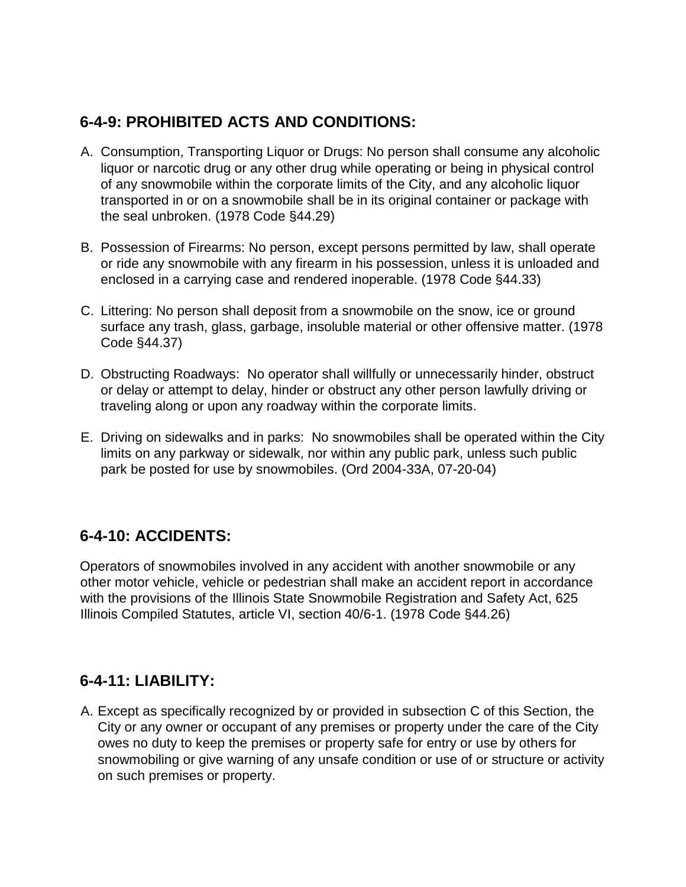# **6-4-9: PROHIBITED ACTS AND CONDITIONS:**

- A. Consumption, Transporting Liquor or Drugs: No person shall consume any alcoholic liquor or narcotic drug or any other drug while operating or being in physical control of any snowmobile within the corporate limits of the City, and any alcoholic liquor transported in or on a snowmobile shall be in its original container or package with the seal unbroken. (1978 Code §44.29)
- B. Possession of Firearms: No person, except persons permitted by law, shall operate or ride any snowmobile with any firearm in his possession, unless it is unloaded and enclosed in a carrying case and rendered inoperable. (1978 Code §44.33)
- C. Littering: No person shall deposit from a snowmobile on the snow, ice or ground surface any trash, glass, garbage, insoluble material or other offensive matter. (1978 Code §44.37)
- D. Obstructing Roadways: No operator shall willfully or unnecessarily hinder, obstruct or delay or attempt to delay, hinder or obstruct any other person lawfully driving or traveling along or upon any roadway within the corporate limits.
- E. Driving on sidewalks and in parks: No snowmobiles shall be operated within the City limits on any parkway or sidewalk, nor within any public park, unless such public park be posted for use by snowmobiles. (Ord 2004-33A, 07-20-04)

#### **6-4-10: ACCIDENTS:**

Operators of snowmobiles involved in any accident with another snowmobile or any other motor vehicle, vehicle or pedestrian shall make an accident report in accordance with the provisions of the Illinois State Snowmobile Registration and Safety Act, 625 Illinois Compiled Statutes, article VI, section 40/6-1. (1978 Code §44.26)

#### **6-4-11: LIABILITY:**

A. Except as specifically recognized by or provided in subsection C of this Section, the City or any owner or occupant of any premises or property under the care of the City owes no duty to keep the premises or property safe for entry or use by others for snowmobiling or give warning of any unsafe condition or use of or structure or activity on such premises or property.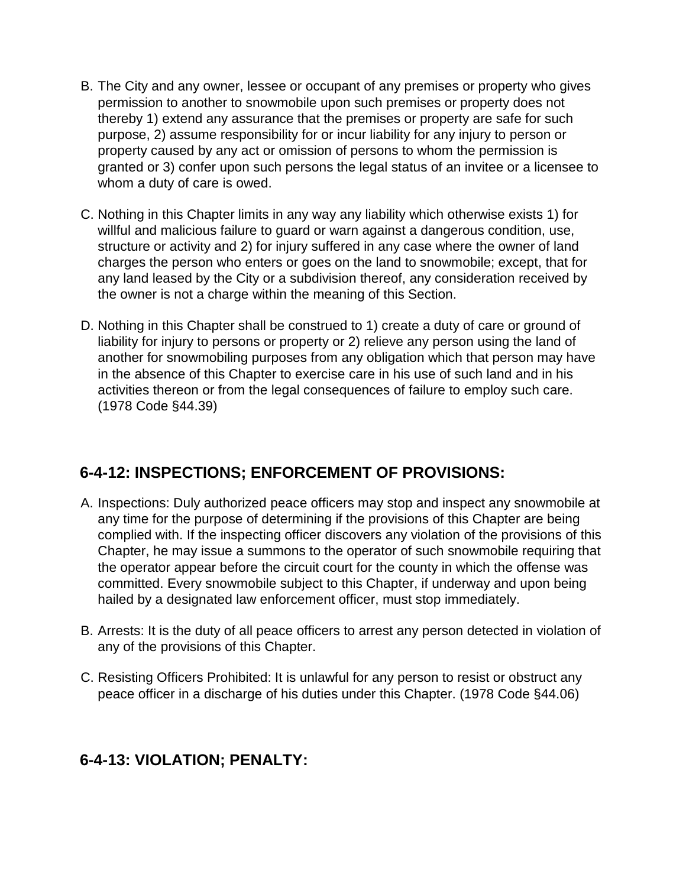- B. The City and any owner, lessee or occupant of any premises or property who gives permission to another to snowmobile upon such premises or property does not thereby 1) extend any assurance that the premises or property are safe for such purpose, 2) assume responsibility for or incur liability for any injury to person or property caused by any act or omission of persons to whom the permission is granted or 3) confer upon such persons the legal status of an invitee or a licensee to whom a duty of care is owed.
- C. Nothing in this Chapter limits in any way any liability which otherwise exists 1) for willful and malicious failure to guard or warn against a dangerous condition, use, structure or activity and 2) for injury suffered in any case where the owner of land charges the person who enters or goes on the land to snowmobile; except, that for any land leased by the City or a subdivision thereof, any consideration received by the owner is not a charge within the meaning of this Section.
- D. Nothing in this Chapter shall be construed to 1) create a duty of care or ground of liability for injury to persons or property or 2) relieve any person using the land of another for snowmobiling purposes from any obligation which that person may have in the absence of this Chapter to exercise care in his use of such land and in his activities thereon or from the legal consequences of failure to employ such care. (1978 Code §44.39)

# **6-4-12: INSPECTIONS; ENFORCEMENT OF PROVISIONS:**

- A. Inspections: Duly authorized peace officers may stop and inspect any snowmobile at any time for the purpose of determining if the provisions of this Chapter are being complied with. If the inspecting officer discovers any violation of the provisions of this Chapter, he may issue a summons to the operator of such snowmobile requiring that the operator appear before the circuit court for the county in which the offense was committed. Every snowmobile subject to this Chapter, if underway and upon being hailed by a designated law enforcement officer, must stop immediately.
- B. Arrests: It is the duty of all peace officers to arrest any person detected in violation of any of the provisions of this Chapter.
- C. Resisting Officers Prohibited: It is unlawful for any person to resist or obstruct any peace officer in a discharge of his duties under this Chapter. (1978 Code §44.06)

# **6-4-13: VIOLATION; PENALTY:**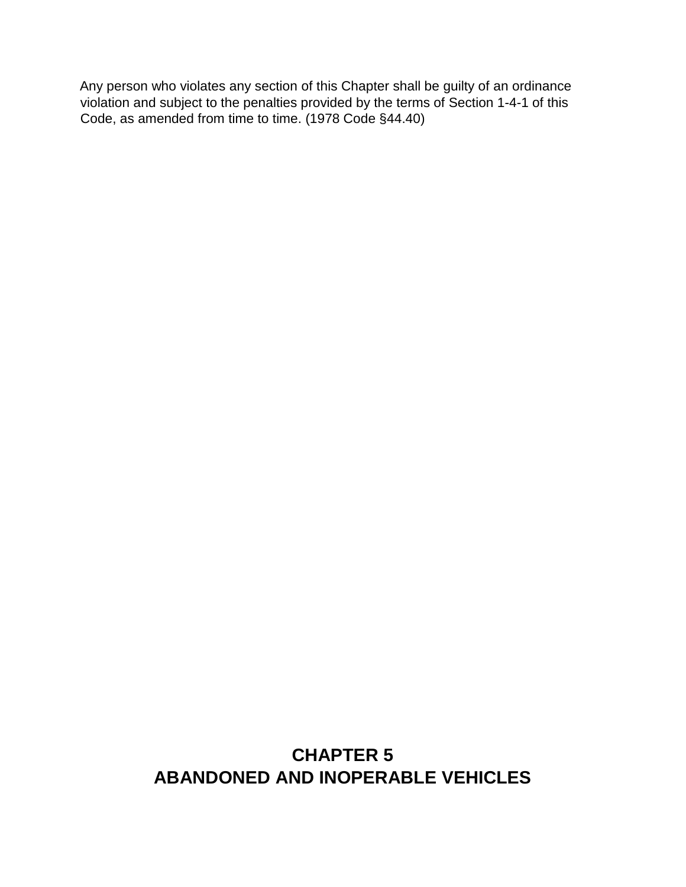Any person who violates any section of this Chapter shall be guilty of an ordinance violation and subject to the penalties provided by the terms of Secti[on 1-4-1 of](http://www.sterlingcodifiers.com/IL/Genoa/04004000000001000.htm#1-4-1) this Code, as amended from time to time. (1978 Code §44.40)

# **CHAPTER 5 ABANDONED AND INOPERABLE VEHICLES**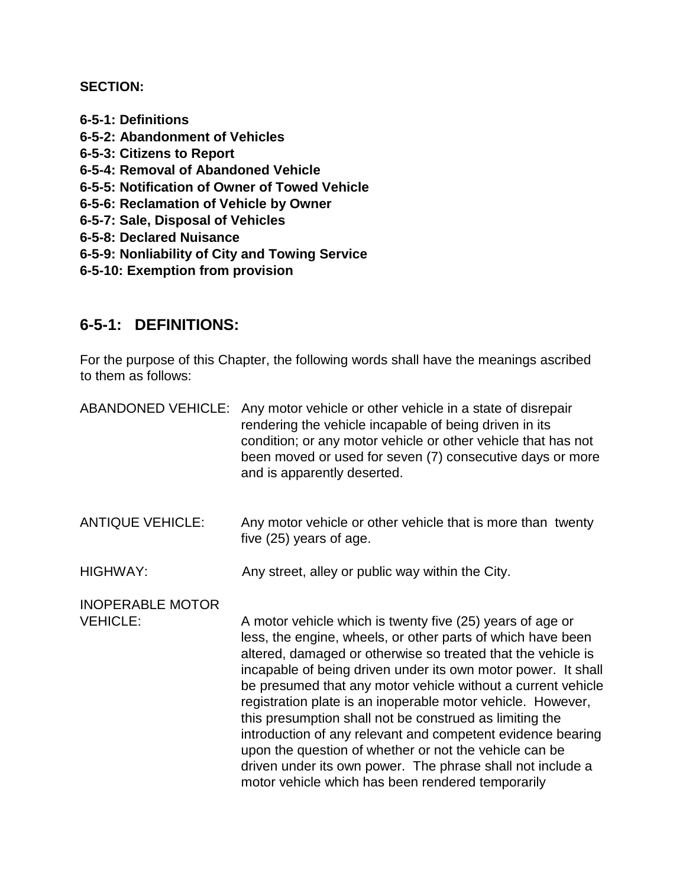#### **SECTION:**

- **6-5-1: Definitions**
- **6-5-2: Abandonment of Vehicles**
- **6-5-3: Citizens to Report**
- **6-5-4: Removal of Abandoned Vehicle**
- **6-5-5: Notification of Owner of Towed Vehicle**
- **6-5-6: Reclamation of Vehicle by Owner**
- **6-5-7: Sale, Disposal of Vehicles**
- **6-5-8: Declared Nuisance**
- **6-5-9: Nonliability of City and Towing Service**
- **6-5-10: Exemption from provision**

#### **6-5-1: DEFINITIONS:**

For the purpose of this Chapter, the following words shall have the meanings ascribed to them as follows:

| <b>ABANDONED VEHICLE:</b>                  | Any motor vehicle or other vehicle in a state of disrepair<br>rendering the vehicle incapable of being driven in its<br>condition; or any motor vehicle or other vehicle that has not<br>been moved or used for seven (7) consecutive days or more<br>and is apparently deserted.                                                                                                                                                                                                                                                                                                                                                                                                               |
|--------------------------------------------|-------------------------------------------------------------------------------------------------------------------------------------------------------------------------------------------------------------------------------------------------------------------------------------------------------------------------------------------------------------------------------------------------------------------------------------------------------------------------------------------------------------------------------------------------------------------------------------------------------------------------------------------------------------------------------------------------|
| <b>ANTIQUE VEHICLE:</b>                    | Any motor vehicle or other vehicle that is more than twenty<br>five (25) years of age.                                                                                                                                                                                                                                                                                                                                                                                                                                                                                                                                                                                                          |
| <b>HIGHWAY:</b>                            | Any street, alley or public way within the City.                                                                                                                                                                                                                                                                                                                                                                                                                                                                                                                                                                                                                                                |
| <b>INOPERABLE MOTOR</b><br><b>VEHICLE:</b> | A motor vehicle which is twenty five (25) years of age or<br>less, the engine, wheels, or other parts of which have been<br>altered, damaged or otherwise so treated that the vehicle is<br>incapable of being driven under its own motor power. It shall<br>be presumed that any motor vehicle without a current vehicle<br>registration plate is an inoperable motor vehicle. However,<br>this presumption shall not be construed as limiting the<br>introduction of any relevant and competent evidence bearing<br>upon the question of whether or not the vehicle can be<br>driven under its own power. The phrase shall not include a<br>motor vehicle which has been rendered temporarily |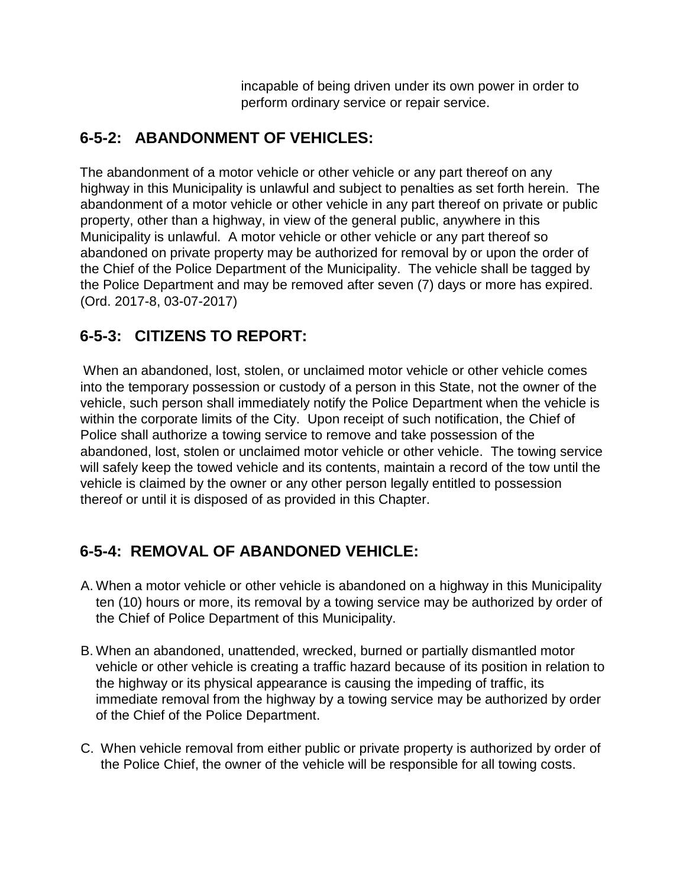incapable of being driven under its own power in order to perform ordinary service or repair service.

# **6-5-2: ABANDONMENT OF VEHICLES:**

The abandonment of a motor vehicle or other vehicle or any part thereof on any highway in this Municipality is unlawful and subject to penalties as set forth herein. The abandonment of a motor vehicle or other vehicle in any part thereof on private or public property, other than a highway, in view of the general public, anywhere in this Municipality is unlawful. A motor vehicle or other vehicle or any part thereof so abandoned on private property may be authorized for removal by or upon the order of the Chief of the Police Department of the Municipality. The vehicle shall be tagged by the Police Department and may be removed after seven (7) days or more has expired. (Ord. 2017-8, 03-07-2017)

## **6-5-3: CITIZENS TO REPORT:**

When an abandoned, lost, stolen, or unclaimed motor vehicle or other vehicle comes into the temporary possession or custody of a person in this State, not the owner of the vehicle, such person shall immediately notify the Police Department when the vehicle is within the corporate limits of the City. Upon receipt of such notification, the Chief of Police shall authorize a towing service to remove and take possession of the abandoned, lost, stolen or unclaimed motor vehicle or other vehicle. The towing service will safely keep the towed vehicle and its contents, maintain a record of the tow until the vehicle is claimed by the owner or any other person legally entitled to possession thereof or until it is disposed of as provided in this Chapter.

# **6-5-4: REMOVAL OF ABANDONED VEHICLE:**

- A. When a motor vehicle or other vehicle is abandoned on a highway in this Municipality ten (10) hours or more, its removal by a towing service may be authorized by order of the Chief of Police Department of this Municipality.
- B. When an abandoned, unattended, wrecked, burned or partially dismantled motor vehicle or other vehicle is creating a traffic hazard because of its position in relation to the highway or its physical appearance is causing the impeding of traffic, its immediate removal from the highway by a towing service may be authorized by order of the Chief of the Police Department.
- C. When vehicle removal from either public or private property is authorized by order of the Police Chief, the owner of the vehicle will be responsible for all towing costs.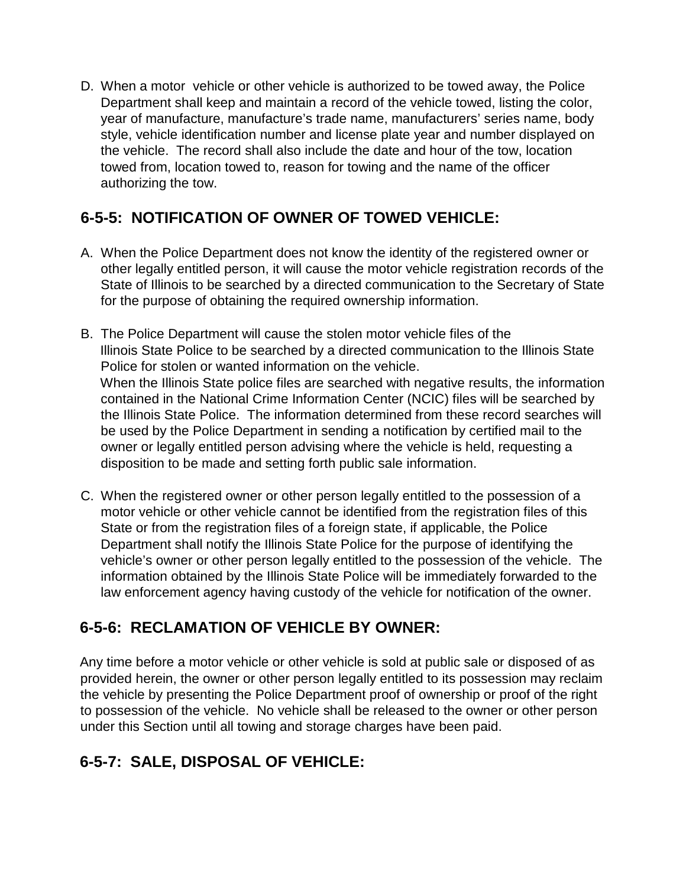D. When a motor vehicle or other vehicle is authorized to be towed away, the Police Department shall keep and maintain a record of the vehicle towed, listing the color, year of manufacture, manufacture's trade name, manufacturers' series name, body style, vehicle identification number and license plate year and number displayed on the vehicle. The record shall also include the date and hour of the tow, location towed from, location towed to, reason for towing and the name of the officer authorizing the tow.

# **6-5-5: NOTIFICATION OF OWNER OF TOWED VEHICLE:**

- A. When the Police Department does not know the identity of the registered owner or other legally entitled person, it will cause the motor vehicle registration records of the State of Illinois to be searched by a directed communication to the Secretary of State for the purpose of obtaining the required ownership information.
- B. The Police Department will cause the stolen motor vehicle files of the Illinois State Police to be searched by a directed communication to the Illinois State Police for stolen or wanted information on the vehicle. When the Illinois State police files are searched with negative results, the information contained in the National Crime Information Center (NCIC) files will be searched by the Illinois State Police. The information determined from these record searches will be used by the Police Department in sending a notification by certified mail to the owner or legally entitled person advising where the vehicle is held, requesting a disposition to be made and setting forth public sale information.
- C. When the registered owner or other person legally entitled to the possession of a motor vehicle or other vehicle cannot be identified from the registration files of this State or from the registration files of a foreign state, if applicable, the Police Department shall notify the Illinois State Police for the purpose of identifying the vehicle's owner or other person legally entitled to the possession of the vehicle. The information obtained by the Illinois State Police will be immediately forwarded to the law enforcement agency having custody of the vehicle for notification of the owner.

# **6-5-6: RECLAMATION OF VEHICLE BY OWNER:**

Any time before a motor vehicle or other vehicle is sold at public sale or disposed of as provided herein, the owner or other person legally entitled to its possession may reclaim the vehicle by presenting the Police Department proof of ownership or proof of the right to possession of the vehicle. No vehicle shall be released to the owner or other person under this Section until all towing and storage charges have been paid.

# **6-5-7: SALE, DISPOSAL OF VEHICLE:**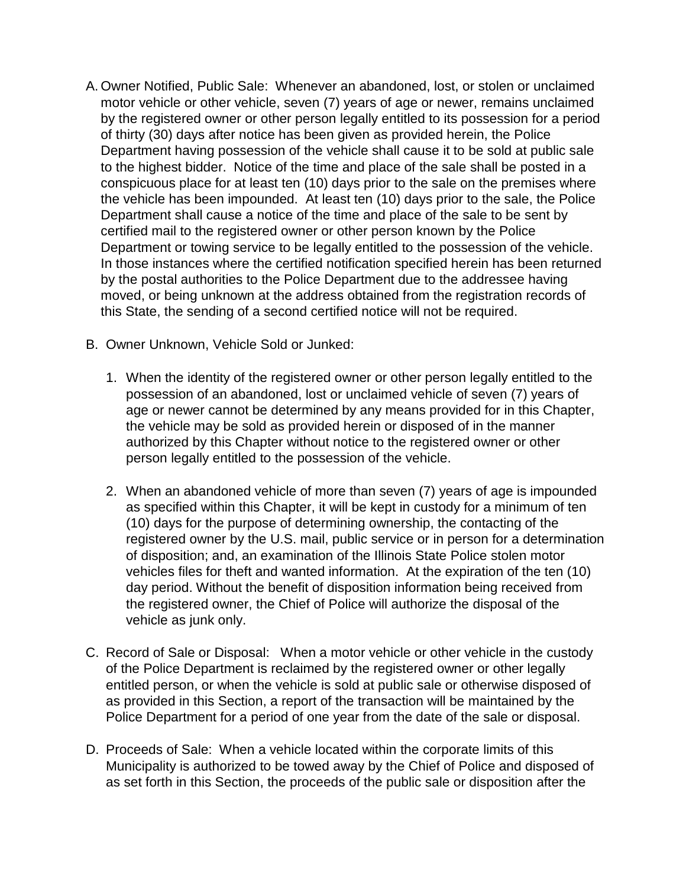- A. Owner Notified, Public Sale: Whenever an abandoned, lost, or stolen or unclaimed motor vehicle or other vehicle, seven (7) years of age or newer, remains unclaimed by the registered owner or other person legally entitled to its possession for a period of thirty (30) days after notice has been given as provided herein, the Police Department having possession of the vehicle shall cause it to be sold at public sale to the highest bidder. Notice of the time and place of the sale shall be posted in a conspicuous place for at least ten (10) days prior to the sale on the premises where the vehicle has been impounded. At least ten (10) days prior to the sale, the Police Department shall cause a notice of the time and place of the sale to be sent by certified mail to the registered owner or other person known by the Police Department or towing service to be legally entitled to the possession of the vehicle. In those instances where the certified notification specified herein has been returned by the postal authorities to the Police Department due to the addressee having moved, or being unknown at the address obtained from the registration records of this State, the sending of a second certified notice will not be required.
- B. Owner Unknown, Vehicle Sold or Junked:
	- 1. When the identity of the registered owner or other person legally entitled to the possession of an abandoned, lost or unclaimed vehicle of seven (7) years of age or newer cannot be determined by any means provided for in this Chapter, the vehicle may be sold as provided herein or disposed of in the manner authorized by this Chapter without notice to the registered owner or other person legally entitled to the possession of the vehicle.
	- 2. When an abandoned vehicle of more than seven (7) years of age is impounded as specified within this Chapter, it will be kept in custody for a minimum of ten (10) days for the purpose of determining ownership, the contacting of the registered owner by the U.S. mail, public service or in person for a determination of disposition; and, an examination of the Illinois State Police stolen motor vehicles files for theft and wanted information. At the expiration of the ten (10) day period. Without the benefit of disposition information being received from the registered owner, the Chief of Police will authorize the disposal of the vehicle as junk only.
- C. Record of Sale or Disposal: When a motor vehicle or other vehicle in the custody of the Police Department is reclaimed by the registered owner or other legally entitled person, or when the vehicle is sold at public sale or otherwise disposed of as provided in this Section, a report of the transaction will be maintained by the Police Department for a period of one year from the date of the sale or disposal.
- D. Proceeds of Sale: When a vehicle located within the corporate limits of this Municipality is authorized to be towed away by the Chief of Police and disposed of as set forth in this Section, the proceeds of the public sale or disposition after the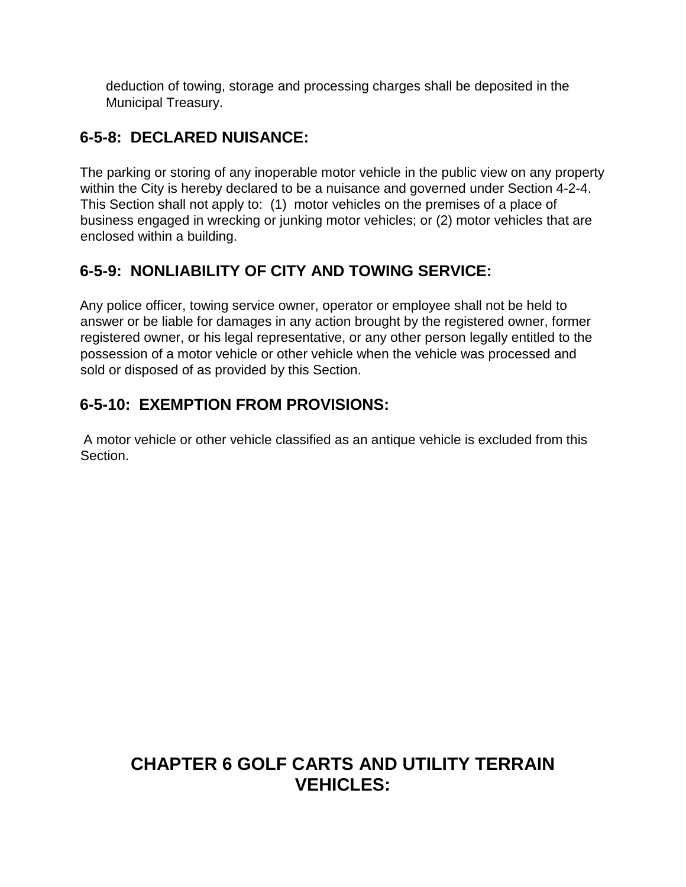deduction of towing, storage and processing charges shall be deposited in the Municipal Treasury.

# **6-5-8: DECLARED NUISANCE:**

The parking or storing of any inoperable motor vehicle in the public view on any property within the City is hereby declared to be a nuisance and governed under Section 4-2-4. This Section shall not apply to: (1) motor vehicles on the premises of a place of business engaged in wrecking or junking motor vehicles; or (2) motor vehicles that are enclosed within a building.

## **6-5-9: NONLIABILITY OF CITY AND TOWING SERVICE:**

Any police officer, towing service owner, operator or employee shall not be held to answer or be liable for damages in any action brought by the registered owner, former registered owner, or his legal representative, or any other person legally entitled to the possession of a motor vehicle or other vehicle when the vehicle was processed and sold or disposed of as provided by this Section.

# **6-5-10: EXEMPTION FROM PROVISIONS:**

A motor vehicle or other vehicle classified as an antique vehicle is excluded from this Section.

# **CHAPTER 6 GOLF CARTS AND UTILITY TERRAIN VEHICLES:**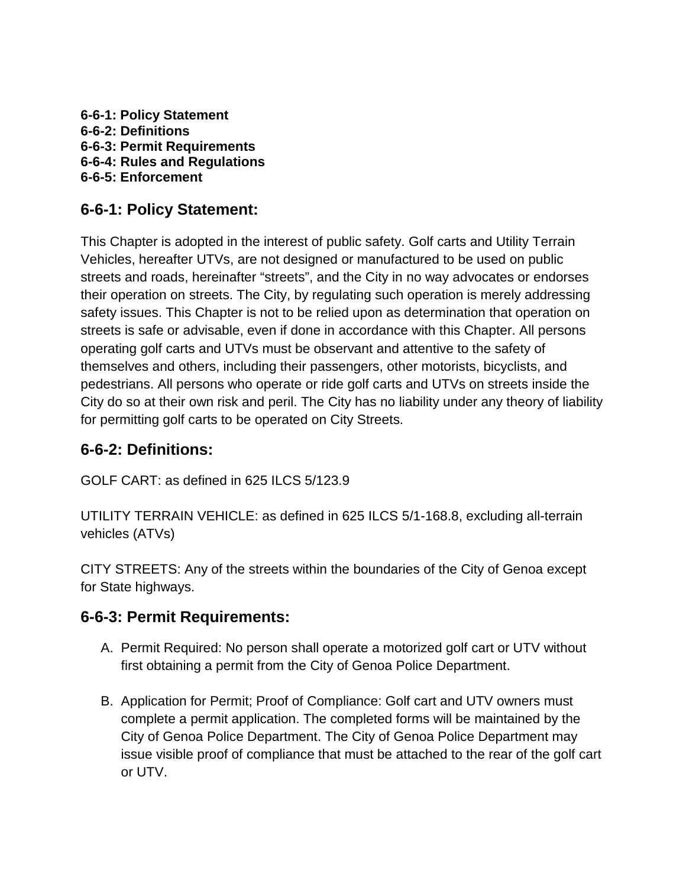**6-6-1: Policy Statement 6-6-2: Definitions 6-6-3: Permit Requirements 6-6-4: Rules and Regulations 6-6-5: Enforcement**

#### **6-6-1: Policy Statement:**

This Chapter is adopted in the interest of public safety. Golf carts and Utility Terrain Vehicles, hereafter UTVs, are not designed or manufactured to be used on public streets and roads, hereinafter "streets", and the City in no way advocates or endorses their operation on streets. The City, by regulating such operation is merely addressing safety issues. This Chapter is not to be relied upon as determination that operation on streets is safe or advisable, even if done in accordance with this Chapter. All persons operating golf carts and UTVs must be observant and attentive to the safety of themselves and others, including their passengers, other motorists, bicyclists, and pedestrians. All persons who operate or ride golf carts and UTVs on streets inside the City do so at their own risk and peril. The City has no liability under any theory of liability for permitting golf carts to be operated on City Streets.

#### **6-6-2: Definitions:**

GOLF CART: as defined in 625 ILCS 5/123.9

UTILITY TERRAIN VEHICLE: as defined in 625 ILCS 5/1-168.8, excluding all-terrain vehicles (ATVs)

CITY STREETS: Any of the streets within the boundaries of the City of Genoa except for State highways.

#### **6-6-3: Permit Requirements:**

- A. Permit Required: No person shall operate a motorized golf cart or UTV without first obtaining a permit from the City of Genoa Police Department.
- B. Application for Permit; Proof of Compliance: Golf cart and UTV owners must complete a permit application. The completed forms will be maintained by the City of Genoa Police Department. The City of Genoa Police Department may issue visible proof of compliance that must be attached to the rear of the golf cart or UTV.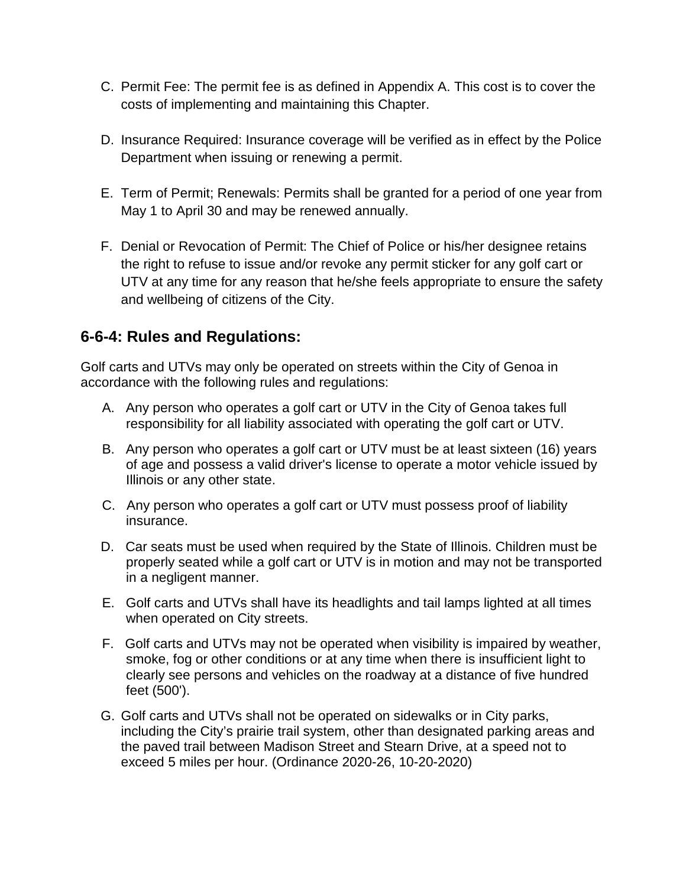- C. Permit Fee: The permit fee is as defined in Appendix A. This cost is to cover the costs of implementing and maintaining this Chapter.
- D. Insurance Required: Insurance coverage will be verified as in effect by the Police Department when issuing or renewing a permit.
- E. Term of Permit; Renewals: Permits shall be granted for a period of one year from May 1 to April 30 and may be renewed annually.
- F. Denial or Revocation of Permit: The Chief of Police or his/her designee retains the right to refuse to issue and/or revoke any permit sticker for any golf cart or UTV at any time for any reason that he/she feels appropriate to ensure the safety and wellbeing of citizens of the City.

#### **6-6-4: Rules and Regulations:**

Golf carts and UTVs may only be operated on streets within the City of Genoa in accordance with the following rules and regulations:

- A. Any person who operates a golf cart or UTV in the City of Genoa takes full responsibility for all liability associated with operating the golf cart or UTV.
- B. Any person who operates a golf cart or UTV must be at least sixteen (16) years of age and possess a valid driver's license to operate a motor vehicle issued by Illinois or any other state.
- C. Any person who operates a golf cart or UTV must possess proof of liability insurance.
- D. Car seats must be used when required by the State of Illinois. Children must be properly seated while a golf cart or UTV is in motion and may not be transported in a negligent manner.
- E. Golf carts and UTVs shall have its headlights and tail lamps lighted at all times when operated on City streets.
- F. Golf carts and UTVs may not be operated when visibility is impaired by weather, smoke, fog or other conditions or at any time when there is insufficient light to clearly see persons and vehicles on the roadway at a distance of five hundred feet (500').
- G. Golf carts and UTVs shall not be operated on sidewalks or in City parks, including the City's prairie trail system, other than designated parking areas and the paved trail between Madison Street and Stearn Drive, at a speed not to exceed 5 miles per hour. (Ordinance 2020-26, 10-20-2020)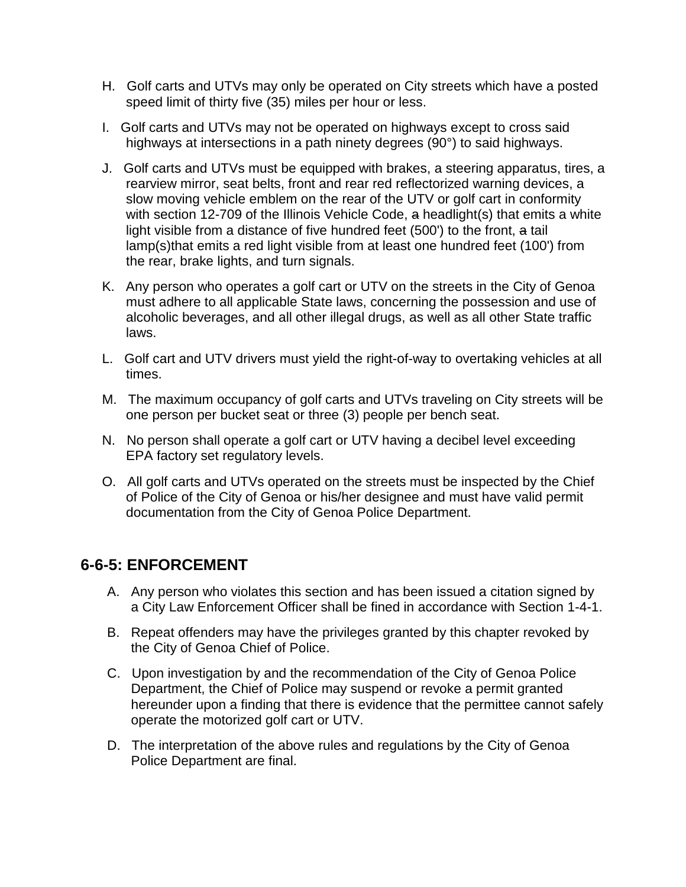- H. Golf carts and UTVs may only be operated on City streets which have a posted speed limit of thirty five (35) miles per hour or less.
- I. Golf carts and UTVs may not be operated on highways except to cross said highways at intersections in a path ninety degrees (90°) to said highways.
- J. Golf carts and UTVs must be equipped with brakes, a steering apparatus, tires, a rearview mirror, seat belts, front and rear red reflectorized warning devices, a slow moving vehicle emblem on the rear of the UTV or golf cart in conformity with section 12-709 of the Illinois Vehicle Code, a headlight(s) that emits a white light visible from a distance of five hundred feet (500') to the front, a tail lamp(s)that emits a red light visible from at least one hundred feet (100') from the rear, brake lights, and turn signals.
- K. Any person who operates a golf cart or UTV on the streets in the City of Genoa must adhere to all applicable State laws, concerning the possession and use of alcoholic beverages, and all other illegal drugs, as well as all other State traffic laws.
- L. Golf cart and UTV drivers must yield the right-of-way to overtaking vehicles at all times.
- M. The maximum occupancy of golf carts and UTVs traveling on City streets will be one person per bucket seat or three (3) people per bench seat.
- N. No person shall operate a golf cart or UTV having a decibel level exceeding EPA factory set regulatory levels.
- O. All golf carts and UTVs operated on the streets must be inspected by the Chief of Police of the City of Genoa or his/her designee and must have valid permit documentation from the City of Genoa Police Department.

#### **6-6-5: ENFORCEMENT**

- A. Any person who violates this section and has been issued a citation signed by a City Law Enforcement Officer shall be fined in accordance with Section 1-4-1.
- B. Repeat offenders may have the privileges granted by this chapter revoked by the City of Genoa Chief of Police.
- C. Upon investigation by and the recommendation of the City of Genoa Police Department, the Chief of Police may suspend or revoke a permit granted hereunder upon a finding that there is evidence that the permittee cannot safely operate the motorized golf cart or UTV.
- D. The interpretation of the above rules and regulations by the City of Genoa Police Department are final.